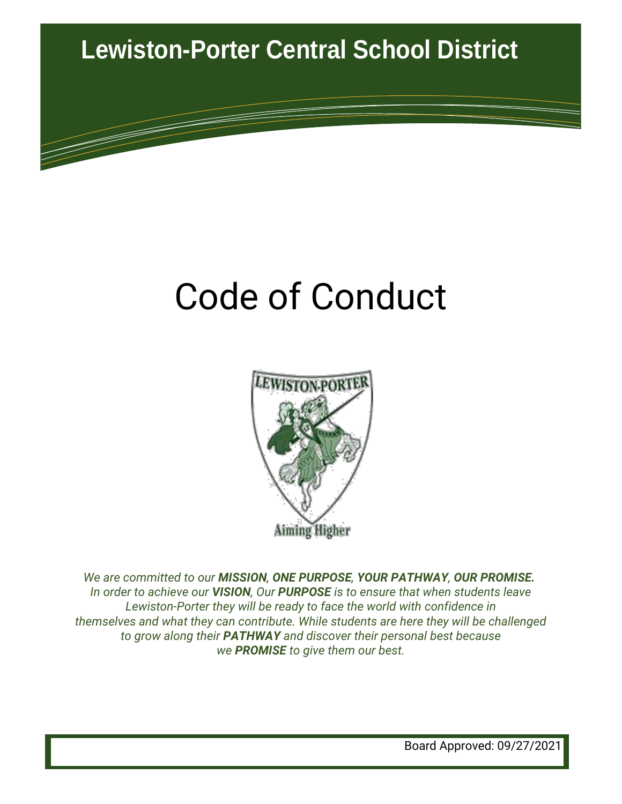

# Code of Conduct



*We are committed to our MISSION, ONE PURPOSE, YOUR PATHWAY, OUR PROMISE. In order to achieve our VISION, Our PURPOSE is to ensure that when students leave Lewiston-Porter they will be ready to face the world with confidence in themselves and what they can contribute. While students are here they will be challenged to grow along their PATHWAY and discover their personal best because we PROMISE to give them our best.*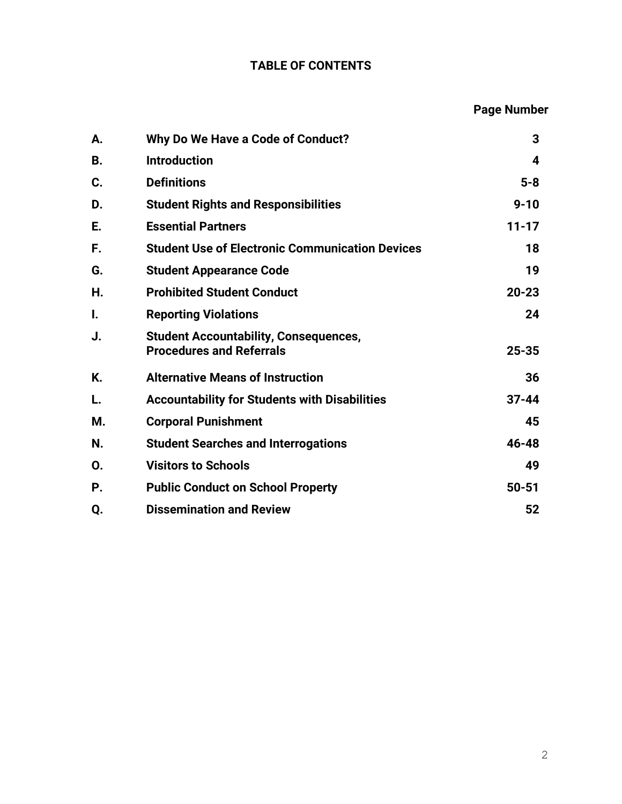# **TABLE OF CONTENTS**

|    |                                                                                 | <b>Page Number</b> |
|----|---------------------------------------------------------------------------------|--------------------|
| А. | Why Do We Have a Code of Conduct?                                               | 3                  |
| Β. | <b>Introduction</b>                                                             | 4                  |
| C. | <b>Definitions</b>                                                              | $5 - 8$            |
| D. | <b>Student Rights and Responsibilities</b>                                      | $9 - 10$           |
| E. | <b>Essential Partners</b>                                                       | $11 - 17$          |
| F. | <b>Student Use of Electronic Communication Devices</b>                          | 18                 |
| G. | <b>Student Appearance Code</b>                                                  | 19                 |
| Η. | <b>Prohibited Student Conduct</b>                                               | $20 - 23$          |
| I. | <b>Reporting Violations</b>                                                     | 24                 |
| J. | <b>Student Accountability, Consequences,</b><br><b>Procedures and Referrals</b> | 25-35              |
| K. | <b>Alternative Means of Instruction</b>                                         | 36                 |
| L. | <b>Accountability for Students with Disabilities</b>                            | $37 - 44$          |
| М. | <b>Corporal Punishment</b>                                                      | 45                 |
| N. | <b>Student Searches and Interrogations</b>                                      | 46-48              |
| 0. | <b>Visitors to Schools</b>                                                      | 49                 |
| Ρ. | <b>Public Conduct on School Property</b>                                        | $50 - 51$          |
| Q. | <b>Dissemination and Review</b>                                                 | 52                 |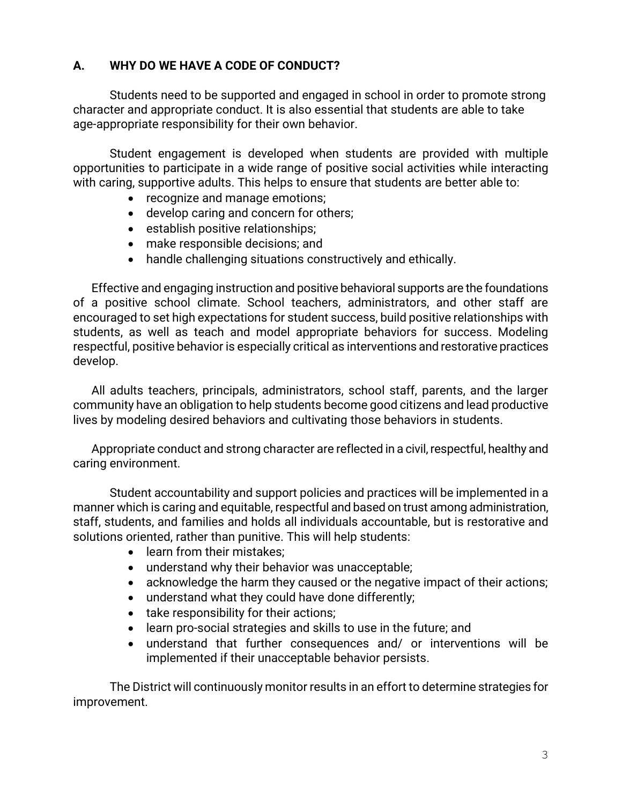# **A. WHY DO WE HAVE A CODE OF CONDUCT?**

Students need to be supported and engaged in school in order to promote strong character and appropriate conduct. It is also essential that students are able to take age-appropriate responsibility for their own behavior.

Student engagement is developed when students are provided with multiple opportunities to participate in a wide range of positive social activities while interacting with caring, supportive adults. This helps to ensure that students are better able to:

- recognize and manage emotions;
- develop caring and concern for others;
- establish positive relationships;
- make responsible decisions; and
- handle challenging situations constructively and ethically.

Effective and engaging instruction and positive behavioral supports are the foundations of a positive school climate. School teachers, administrators, and other staff are encouraged to set high expectations for student success, build positive relationships with students, as well as teach and model appropriate behaviors for success. Modeling respectful, positive behavior is especially critical as interventions and restorative practices develop.

All adults teachers, principals, administrators, school staff, parents, and the larger community have an obligation to help students become good citizens and lead productive lives by modeling desired behaviors and cultivating those behaviors in students.

Appropriate conduct and strong character are reflected in a civil, respectful, healthy and caring environment.

Student accountability and support policies and practices will be implemented in a manner which is caring and equitable, respectful and based on trust among administration, staff, students, and families and holds all individuals accountable, but is restorative and solutions oriented, rather than punitive. This will help students:

- learn from their mistakes;
- understand why their behavior was unacceptable;
- acknowledge the harm they caused or the negative impact of their actions;
- understand what they could have done differently;
- take responsibility for their actions;
- learn pro-social strategies and skills to use in the future; and
- understand that further consequences and/ or interventions will be implemented if their unacceptable behavior persists.

The District will continuously monitor results in an effort to determine strategies for improvement.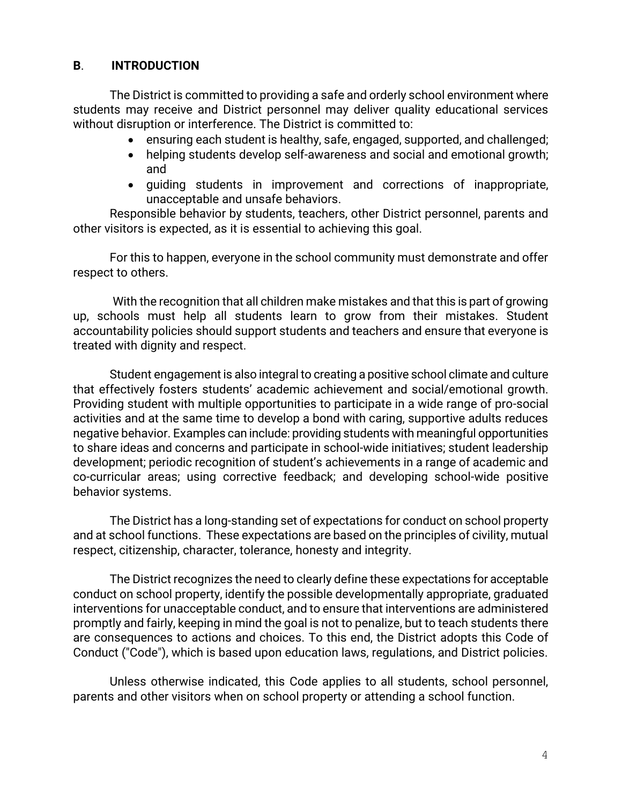## **B**. **INTRODUCTION**

The District is committed to providing a safe and orderly school environment where students may receive and District personnel may deliver quality educational services without disruption or interference. The District is committed to:

- ensuring each student is healthy, safe, engaged, supported, and challenged;
- helping students develop self-awareness and social and emotional growth; and
- guiding students in improvement and corrections of inappropriate, unacceptable and unsafe behaviors.

Responsible behavior by students, teachers, other District personnel, parents and other visitors is expected, as it is essential to achieving this goal.

For this to happen, everyone in the school community must demonstrate and offer respect to others.

With the recognition that all children make mistakes and that this is part of growing up, schools must help all students learn to grow from their mistakes. Student accountability policies should support students and teachers and ensure that everyone is treated with dignity and respect.

Student engagement is also integral to creating a positive school climate and culture that effectively fosters students' academic achievement and social/emotional growth. Providing student with multiple opportunities to participate in a wide range of pro-social activities and at the same time to develop a bond with caring, supportive adults reduces negative behavior. Examples can include: providing students with meaningful opportunities to share ideas and concerns and participate in school-wide initiatives; student leadership development; periodic recognition of student's achievements in a range of academic and co-curricular areas; using corrective feedback; and developing school-wide positive behavior systems.

The District has a long-standing set of expectations for conduct on school property and at school functions. These expectations are based on the principles of civility, mutual respect, citizenship, character, tolerance, honesty and integrity.

The District recognizes the need to clearly define these expectations for acceptable conduct on school property, identify the possible developmentally appropriate, graduated interventions for unacceptable conduct, and to ensure that interventions are administered promptly and fairly, keeping in mind the goal is not to penalize, but to teach students there are consequences to actions and choices. To this end, the District adopts this Code of Conduct ("Code"), which is based upon education laws, regulations, and District policies.

Unless otherwise indicated, this Code applies to all students, school personnel, parents and other visitors when on school property or attending a school function.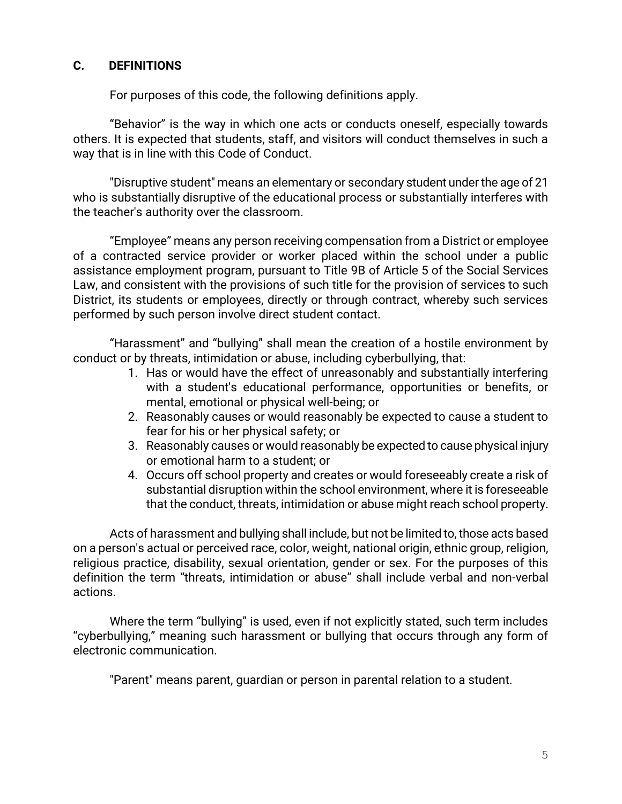#### **C. DEFINITIONS**

For purposes of this code, the following definitions apply.

"Behavior" is the way in which one acts or conducts oneself, especially towards others. It is expected that students, staff, and visitors will conduct themselves in such a way that is in line with this Code of Conduct.

"Disruptive student" means an elementary or secondary student under the age of 21 who is substantially disruptive of the educational process or substantially interferes with the teacher's authority over the classroom.

"Employee" means any person receiving compensation from a District or employee of a contracted service provider or worker placed within the school under a public assistance employment program, pursuant to Title 9B of Article 5 of the Social Services Law, and consistent with the provisions of such title for the provision of services to such District, its students or employees, directly or through contract, whereby such services performed by such person involve direct student contact.

"Harassment" and "bullying" shall mean the creation of a hostile environment by conduct or by threats, intimidation or abuse, including cyberbullying, that:

- 1. Has or would have the effect of unreasonably and substantially interfering with a student's educational performance, opportunities or benefits, or mental, emotional or physical well-being; or
- 2. Reasonably causes or would reasonably be expected to cause a student to fear for his or her physical safety; or
- 3. Reasonably causes or would reasonably be expected to cause physical injury or emotional harm to a student; or
- 4. Occurs off school property and creates or would foreseeably create a risk of substantial disruption within the school environment, where it is foreseeable that the conduct, threats, intimidation or abuse might reach school property.

Acts of harassment and bullying shall include, but not be limited to, those acts based on a person's actual or perceived race, color, weight, national origin, ethnic group, religion, religious practice, disability, sexual orientation, gender or sex. For the purposes of this definition the term "threats, intimidation or abuse" shall include verbal and non-verbal actions.

Where the term "bullying" is used, even if not explicitly stated, such term includes "cyberbullying," meaning such harassment or bullying that occurs through any form of electronic communication.

"Parent" means parent, guardian or person in parental relation to a student.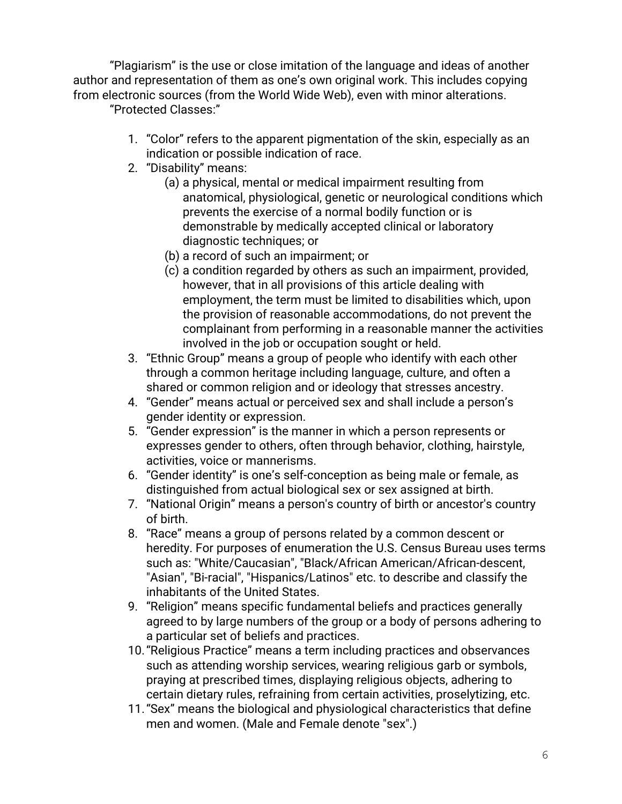"Plagiarism" is the use or close imitation of the language and ideas of another author and representation of them as one's own original work. This includes copying from electronic sources (from the World Wide Web), even with minor alterations.

"Protected Classes:"

- 1. "Color" refers to the apparent pigmentation of the skin, especially as an indication or possible indication of race.
- 2. "Disability" means:
	- (a) a physical, mental or medical impairment resulting from anatomical, physiological, genetic or neurological conditions which prevents the exercise of a normal bodily function or is demonstrable by medically accepted clinical or laboratory diagnostic techniques; or
	- (b) a record of such an impairment; or
	- (c) a condition regarded by others as such an impairment, provided, however, that in all provisions of this article dealing with employment, the term must be limited to disabilities which, upon the provision of reasonable accommodations, do not prevent the complainant from performing in a reasonable manner the activities involved in the job or occupation sought or held.
- 3. "Ethnic Group" means a group of people who identify with each other through a common heritage including language, culture, and often a shared or common religion and or ideology that stresses ancestry.
- 4. "Gender" means actual or perceived sex and shall include a person's gender identity or expression.
- 5. "Gender expression" is the manner in which a person represents or expresses gender to others, often through behavior, clothing, hairstyle, activities, voice or mannerisms.
- 6. "Gender identity" is one's self-conception as being male or female, as distinguished from actual biological sex or sex assigned at birth.
- 7. "National Origin" means a person's country of birth or ancestor's country of birth.
- 8. "Race" means a group of persons related by a common descent or heredity. For purposes of enumeration the U.S. Census Bureau uses terms such as: "White/Caucasian", "Black/African American/African-descent, "Asian", "Bi-racial", "Hispanics/Latinos" etc. to describe and classify the inhabitants of the United States.
- 9. "Religion" means specific fundamental beliefs and practices generally agreed to by large numbers of the group or a body of persons adhering to a particular set of beliefs and practices.
- 10."Religious Practice" means a term including practices and observances such as attending worship services, wearing religious garb or symbols, praying at prescribed times, displaying religious objects, adhering to certain dietary rules, refraining from certain activities, proselytizing, etc.
- 11."Sex" means the biological and physiological characteristics that define men and women. (Male and Female denote "sex".)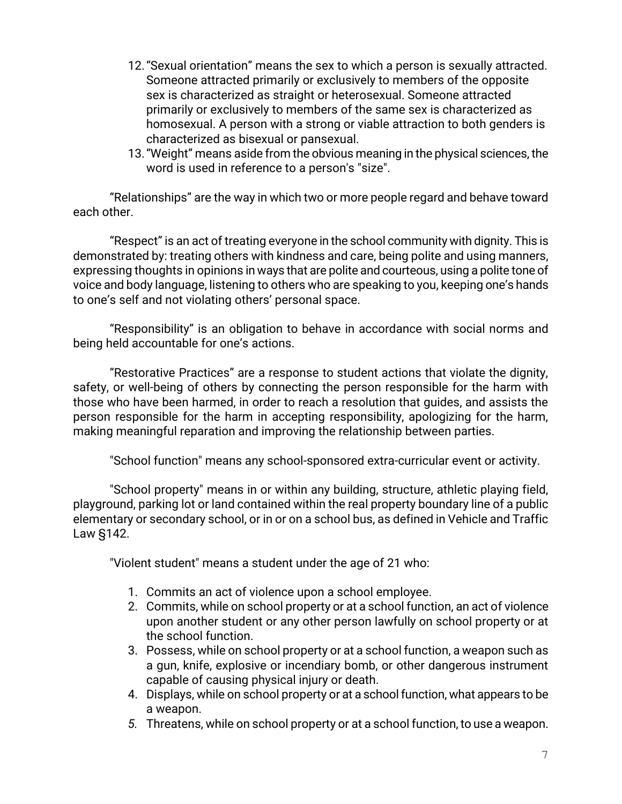- 12."Sexual orientation" means the sex to which a person is sexually attracted. Someone attracted primarily or exclusively to members of the opposite sex is characterized as straight or heterosexual. Someone attracted primarily or exclusively to members of the same sex is characterized as homosexual. A person with a strong or viable attraction to both genders is characterized as bisexual or pansexual.
- 13."Weight" means aside from the obvious meaning in the physical sciences, the word is used in reference to a person's "size".

"Relationships" are the way in which two or more people regard and behave toward each other.

"Respect" is an act of treating everyone in the school community with dignity. This is demonstrated by: treating others with kindness and care, being polite and using manners, expressing thoughts in opinions in ways that are polite and courteous, using a polite tone of voice and body language, listening to others who are speaking to you, keeping one's hands to one's self and not violating others' personal space.

"Responsibility" is an obligation to behave in accordance with social norms and being held accountable for one's actions.

"Restorative Practices" are a response to student actions that violate the dignity, safety, or well-being of others by connecting the person responsible for the harm with those who have been harmed, in order to reach a resolution that guides, and assists the person responsible for the harm in accepting responsibility, apologizing for the harm, making meaningful reparation and improving the relationship between parties.

"School function" means any school-sponsored extra-curricular event or activity.

"School property" means in or within any building, structure, athletic playing field, playground, parking lot or land contained within the real property boundary line of a public elementary or secondary school, or in or on a school bus, as defined in Vehicle and Traffic Law §142.

"Violent student" means a student under the age of 21 who:

- 1. Commits an act of violence upon a school employee.
- 2. Commits, while on school property or at a school function, an act of violence upon another student or any other person lawfully on school property or at the school function.
- 3. Possess, while on school property or at a school function, a weapon such as a gun, knife, explosive or incendiary bomb, or other dangerous instrument capable of causing physical injury or death.
- 4. Displays, while on school property or at a school function, what appears to be a weapon.
- *5.* Threatens, while on school property or at a school function, to use a weapon.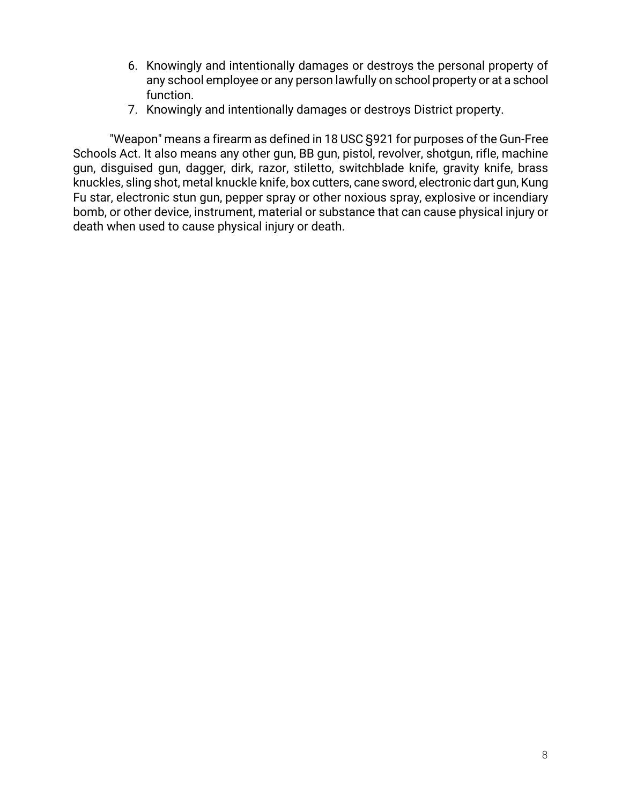- 6. Knowingly and intentionally damages or destroys the personal property of any school employee or any person lawfully on school property or at a school function.
- 7. Knowingly and intentionally damages or destroys District property.

"Weapon" means a firearm as defined in 18 USC §921 for purposes of the Gun-Free Schools Act. It also means any other gun, BB gun, pistol, revolver, shotgun, rifle, machine gun, disguised gun, dagger, dirk, razor, stiletto, switchblade knife, gravity knife, brass knuckles, sling shot, metal knuckle knife, box cutters, cane sword, electronic dart gun, Kung Fu star, electronic stun gun, pepper spray or other noxious spray, explosive or incendiary bomb, or other device, instrument, material or substance that can cause physical injury or death when used to cause physical injury or death.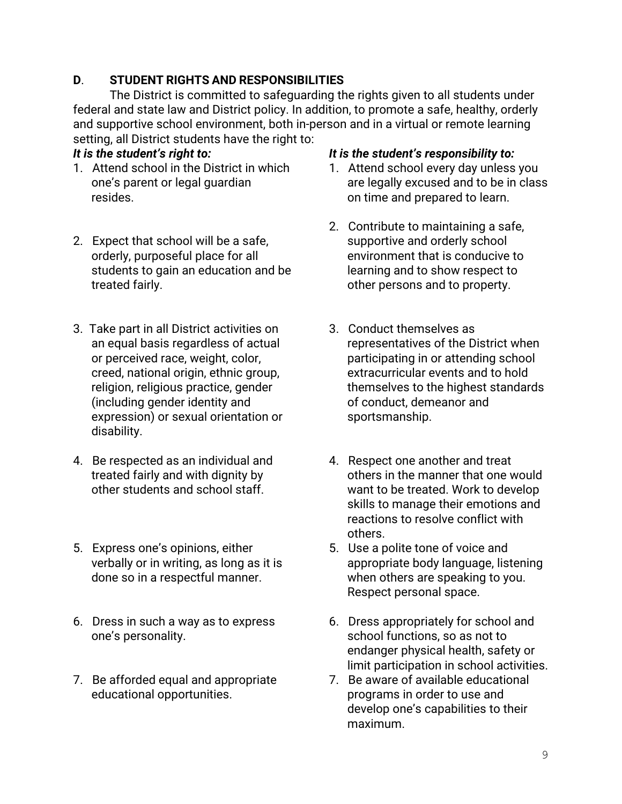# **D**. **STUDENT RIGHTS AND RESPONSIBILITIES**

The District is committed to safeguarding the rights given to all students under federal and state law and District policy. In addition, to promote a safe, healthy, orderly and supportive school environment, both in-person and in a virtual or remote learning setting, all District students have the right to:

#### *It is the student's right to:*

- 1. Attend school in the District in which one's parent or legal guardian resides.
- 2. Expect that school will be a safe, orderly, purposeful place for all students to gain an education and be treated fairly.
- 3. Take part in all District activities on an equal basis regardless of actual or perceived race, weight, color, creed, national origin, ethnic group, religion, religious practice, gender (including gender identity and expression) or sexual orientation or disability.
- 4. Be respected as an individual and treated fairly and with dignity by other students and school staff.
- 5. Express one's opinions, either verbally or in writing, as long as it is done so in a respectful manner.
- 6. Dress in such a way as to express one's personality.
- 7. Be afforded equal and appropriate educational opportunities.

# *It is the student's responsibility to:*

- 1. Attend school every day unless you are legally excused and to be in class on time and prepared to learn.
- 2. Contribute to maintaining a safe, supportive and orderly school environment that is conducive to learning and to show respect to other persons and to property.
- 3. Conduct themselves as representatives of the District when participating in or attending school extracurricular events and to hold themselves to the highest standards of conduct, demeanor and sportsmanship.
- 4. Respect one another and treat others in the manner that one would want to be treated. Work to develop skills to manage their emotions and reactions to resolve conflict with others.
- 5. Use a polite tone of voice and appropriate body language, listening when others are speaking to you. Respect personal space.
- 6. Dress appropriately for school and school functions, so as not to endanger physical health, safety or limit participation in school activities.
- 7. Be aware of available educational programs in order to use and develop one's capabilities to their maximum.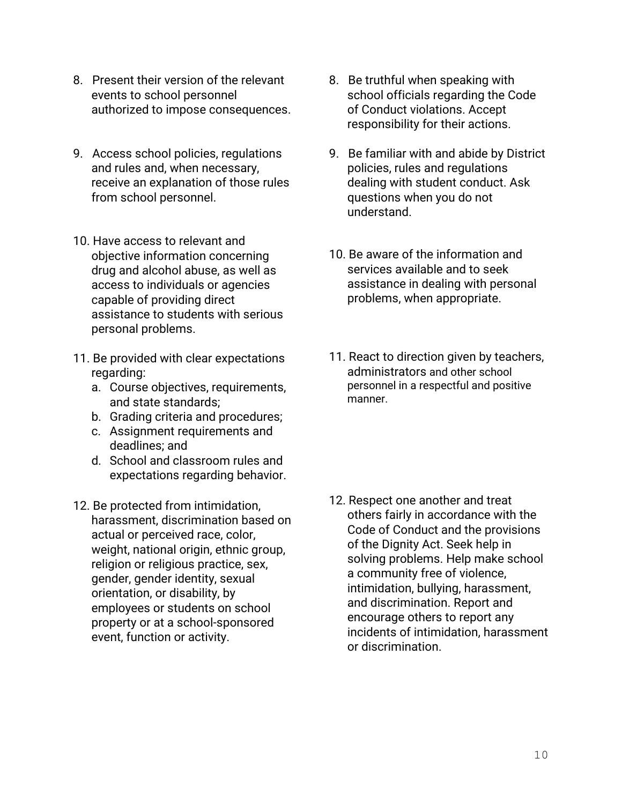- 8. Present their version of the relevant events to school personnel authorized to impose consequences.
- 9. Access school policies, regulations and rules and, when necessary, receive an explanation of those rules from school personnel.
- 10. Have access to relevant and objective information concerning drug and alcohol abuse, as well as access to individuals or agencies capable of providing direct assistance to students with serious personal problems.
- 11. Be provided with clear expectations regarding:
	- a. Course objectives, requirements, and state standards;
	- b. Grading criteria and procedures;
	- c. Assignment requirements and deadlines; and
	- d. School and classroom rules and expectations regarding behavior.
- 12. Be protected from intimidation, harassment, discrimination based on actual or perceived race, color, weight, national origin, ethnic group, religion or religious practice, sex, gender, gender identity, sexual orientation, or disability, by employees or students on school property or at a school-sponsored event, function or activity.
- 8. Be truthful when speaking with school officials regarding the Code of Conduct violations. Accept responsibility for their actions.
- 9. Be familiar with and abide by District policies, rules and regulations dealing with student conduct. Ask questions when you do not understand.
- 10. Be aware of the information and services available and to seek assistance in dealing with personal problems, when appropriate.
- 11. React to direction given by teachers, administrators and other school personnel in a respectful and positive manner.

12. Respect one another and treat others fairly in accordance with the Code of Conduct and the provisions of the Dignity Act. Seek help in solving problems. Help make school a community free of violence, intimidation, bullying, harassment, and discrimination. Report and encourage others to report any incidents of intimidation, harassment or discrimination.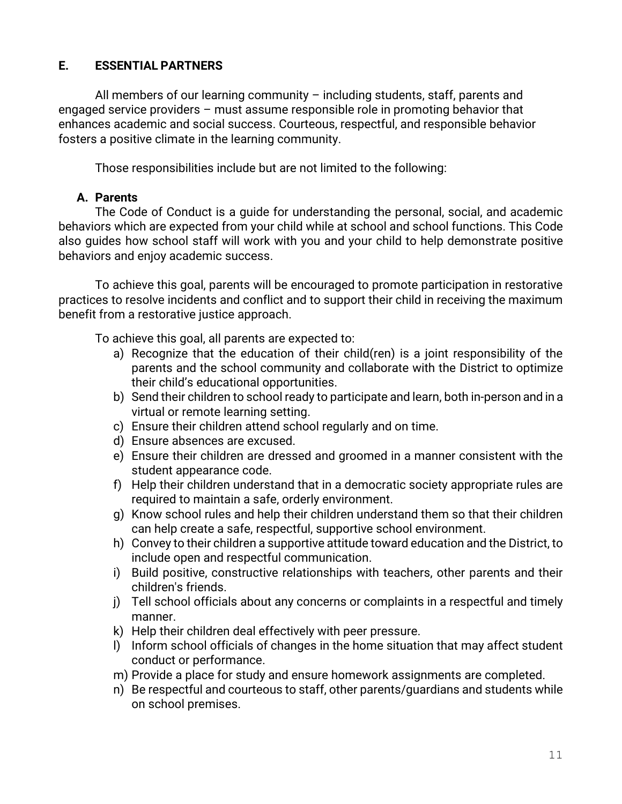# **E. ESSENTIAL PARTNERS**

All members of our learning community  $-$  including students, staff, parents and engaged service providers – must assume responsible role in promoting behavior that enhances academic and social success. Courteous, respectful, and responsible behavior fosters a positive climate in the learning community.

Those responsibilities include but are not limited to the following:

#### **A. Parents**

The Code of Conduct is a guide for understanding the personal, social, and academic behaviors which are expected from your child while at school and school functions. This Code also guides how school staff will work with you and your child to help demonstrate positive behaviors and enjoy academic success.

To achieve this goal, parents will be encouraged to promote participation in restorative practices to resolve incidents and conflict and to support their child in receiving the maximum benefit from a restorative justice approach.

To achieve this goal, all parents are expected to:

- a) Recognize that the education of their child(ren) is a joint responsibility of the parents and the school community and collaborate with the District to optimize their child's educational opportunities.
- b) Send their children to school ready to participate and learn, both in-person and in a virtual or remote learning setting.
- c) Ensure their children attend school regularly and on time.
- d) Ensure absences are excused.
- e) Ensure their children are dressed and groomed in a manner consistent with the student appearance code.
- f) Help their children understand that in a democratic society appropriate rules are required to maintain a safe, orderly environment.
- g) Know school rules and help their children understand them so that their children can help create a safe, respectful, supportive school environment.
- h) Convey to their children a supportive attitude toward education and the District, to include open and respectful communication.
- i) Build positive, constructive relationships with teachers, other parents and their children's friends.
- j) Tell school officials about any concerns or complaints in a respectful and timely manner.
- k) Help their children deal effectively with peer pressure.
- l) Inform school officials of changes in the home situation that may affect student conduct or performance.
- m) Provide a place for study and ensure homework assignments are completed.
- n) Be respectful and courteous to staff, other parents/guardians and students while on school premises.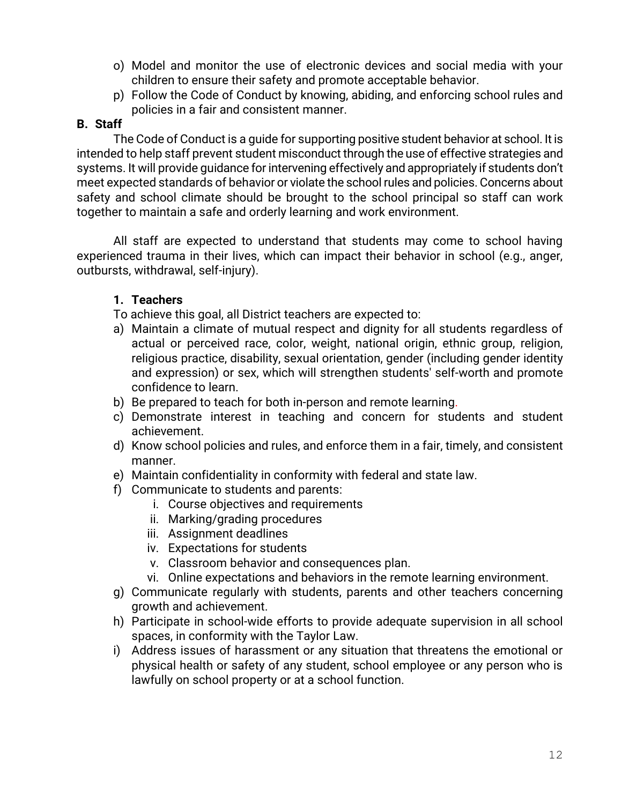- o) Model and monitor the use of electronic devices and social media with your children to ensure their safety and promote acceptable behavior.
- p) Follow the Code of Conduct by knowing, abiding, and enforcing school rules and policies in a fair and consistent manner.

#### **B. Staff**

The Code of Conduct is a guide for supporting positive student behavior at school. It is intended to help staff prevent student misconduct through the use of effective strategies and systems. It will provide guidance for intervening effectively and appropriately if students don't meet expected standards of behavior or violate the school rules and policies. Concerns about safety and school climate should be brought to the school principal so staff can work together to maintain a safe and orderly learning and work environment.

All staff are expected to understand that students may come to school having experienced trauma in their lives, which can impact their behavior in school (e.g., anger, outbursts, withdrawal, self-injury).

# **1. Teachers**

To achieve this goal, all District teachers are expected to:

- a) Maintain a climate of mutual respect and dignity for all students regardless of actual or perceived race, color, weight, national origin, ethnic group, religion, religious practice, disability, sexual orientation, gender (including gender identity and expression) or sex, which will strengthen students' self-worth and promote confidence to learn.
- b) Be prepared to teach for both in-person and remote learning.
- c) Demonstrate interest in teaching and concern for students and student achievement.
- d) Know school policies and rules, and enforce them in a fair, timely, and consistent manner.
- e) Maintain confidentiality in conformity with federal and state law.
- f) Communicate to students and parents:
	- i. Course objectives and requirements
	- ii. Marking/grading procedures
	- iii. Assignment deadlines
	- iv. Expectations for students
	- v. Classroom behavior and consequences plan.
	- vi. Online expectations and behaviors in the remote learning environment.
- g) Communicate regularly with students, parents and other teachers concerning growth and achievement.
- h) Participate in school-wide efforts to provide adequate supervision in all school spaces, in conformity with the Taylor Law.
- i) Address issues of harassment or any situation that threatens the emotional or physical health or safety of any student, school employee or any person who is lawfully on school property or at a school function.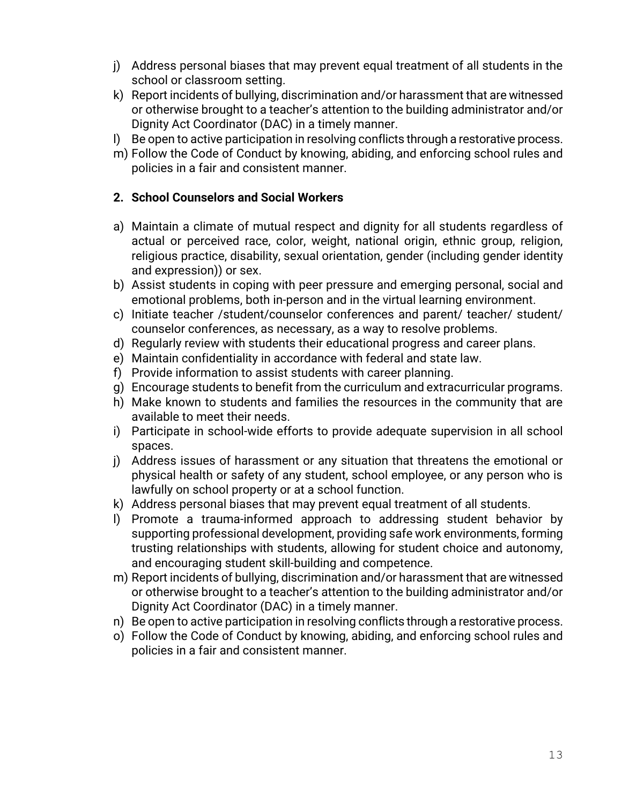- j) Address personal biases that may prevent equal treatment of all students in the school or classroom setting.
- k) Report incidents of bullying, discrimination and/or harassment that are witnessed or otherwise brought to a teacher's attention to the building administrator and/or Dignity Act Coordinator (DAC) in a timely manner.
- Be open to active participation in resolving conflicts through a restorative process.
- m) Follow the Code of Conduct by knowing, abiding, and enforcing school rules and policies in a fair and consistent manner.

# **2. School Counselors and Social Workers**

- a) Maintain a climate of mutual respect and dignity for all students regardless of actual or perceived race, color, weight, national origin, ethnic group, religion, religious practice, disability, sexual orientation, gender (including gender identity and expression)) or sex.
- b) Assist students in coping with peer pressure and emerging personal, social and emotional problems, both in-person and in the virtual learning environment.
- c) Initiate teacher /student/counselor conferences and parent/ teacher/ student/ counselor conferences, as necessary, as a way to resolve problems.
- d) Regularly review with students their educational progress and career plans.
- e) Maintain confidentiality in accordance with federal and state law.
- f) Provide information to assist students with career planning.
- g) Encourage students to benefit from the curriculum and extracurricular programs.
- h) Make known to students and families the resources in the community that are available to meet their needs.
- i) Participate in school-wide efforts to provide adequate supervision in all school spaces.
- j) Address issues of harassment or any situation that threatens the emotional or physical health or safety of any student, school employee, or any person who is lawfully on school property or at a school function.
- k) Address personal biases that may prevent equal treatment of all students.
- l) Promote a trauma-informed approach to addressing student behavior by supporting professional development, providing safe work environments, forming trusting relationships with students, allowing for student choice and autonomy, and encouraging student skill-building and competence.
- m) Report incidents of bullying, discrimination and/or harassment that are witnessed or otherwise brought to a teacher's attention to the building administrator and/or Dignity Act Coordinator (DAC) in a timely manner.
- n) Be open to active participation in resolving conflicts through a restorative process.
- o) Follow the Code of Conduct by knowing, abiding, and enforcing school rules and policies in a fair and consistent manner.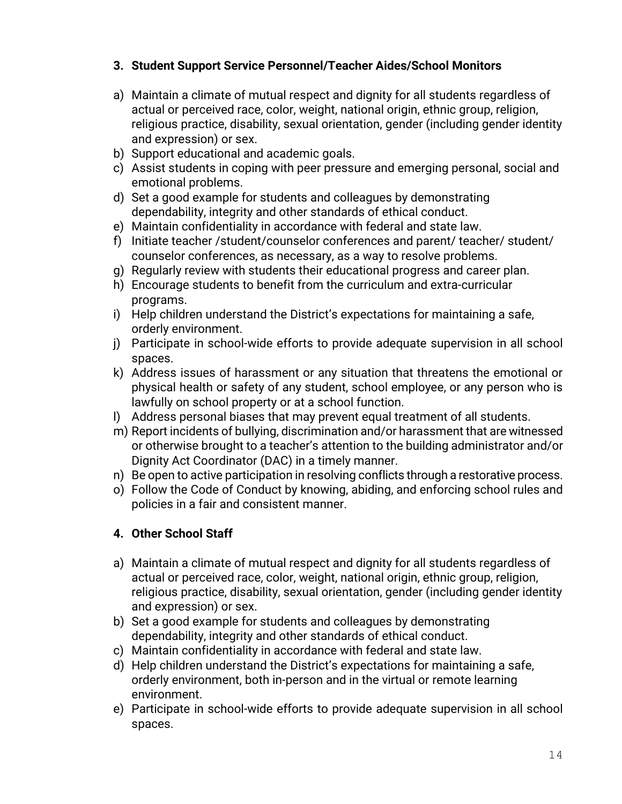# **3. Student Support Service Personnel/Teacher Aides/School Monitors**

- a) Maintain a climate of mutual respect and dignity for all students regardless of actual or perceived race, color, weight, national origin, ethnic group, religion, religious practice, disability, sexual orientation, gender (including gender identity and expression) or sex.
- b) Support educational and academic goals.
- c) Assist students in coping with peer pressure and emerging personal, social and emotional problems.
- d) Set a good example for students and colleagues by demonstrating dependability, integrity and other standards of ethical conduct.
- e) Maintain confidentiality in accordance with federal and state law.
- f) Initiate teacher /student/counselor conferences and parent/ teacher/ student/ counselor conferences, as necessary, as a way to resolve problems.
- g) Regularly review with students their educational progress and career plan.
- h) Encourage students to benefit from the curriculum and extra-curricular programs.
- i) Help children understand the District's expectations for maintaining a safe, orderly environment.
- j) Participate in school-wide efforts to provide adequate supervision in all school spaces.
- k) Address issues of harassment or any situation that threatens the emotional or physical health or safety of any student, school employee, or any person who is lawfully on school property or at a school function.
- l) Address personal biases that may prevent equal treatment of all students.
- m) Report incidents of bullying, discrimination and/or harassment that are witnessed or otherwise brought to a teacher's attention to the building administrator and/or Dignity Act Coordinator (DAC) in a timely manner.
- n) Be open to active participation in resolving conflicts through a restorative process.
- o) Follow the Code of Conduct by knowing, abiding, and enforcing school rules and policies in a fair and consistent manner.

# **4. Other School Staff**

- a) Maintain a climate of mutual respect and dignity for all students regardless of actual or perceived race, color, weight, national origin, ethnic group, religion, religious practice, disability, sexual orientation, gender (including gender identity and expression) or sex.
- b) Set a good example for students and colleagues by demonstrating dependability, integrity and other standards of ethical conduct.
- c) Maintain confidentiality in accordance with federal and state law.
- d) Help children understand the District's expectations for maintaining a safe, orderly environment, both in-person and in the virtual or remote learning environment.
- e) Participate in school-wide efforts to provide adequate supervision in all school spaces.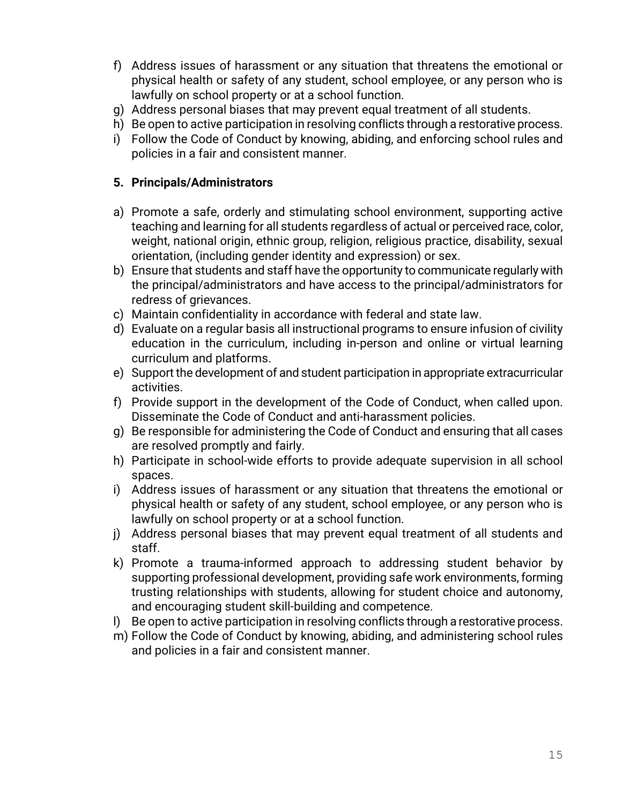- f) Address issues of harassment or any situation that threatens the emotional or physical health or safety of any student, school employee, or any person who is lawfully on school property or at a school function.
- g) Address personal biases that may prevent equal treatment of all students.
- h) Be open to active participation in resolving conflicts through a restorative process.
- i) Follow the Code of Conduct by knowing, abiding, and enforcing school rules and policies in a fair and consistent manner.

# **5. Principals/Administrators**

- a) Promote a safe, orderly and stimulating school environment, supporting active teaching and learning for all students regardless of actual or perceived race, color, weight, national origin, ethnic group, religion, religious practice, disability, sexual orientation, (including gender identity and expression) or sex.
- b) Ensure that students and staff have the opportunity to communicate regularly with the principal/administrators and have access to the principal/administrators for redress of grievances.
- c) Maintain confidentiality in accordance with federal and state law.
- d) Evaluate on a regular basis all instructional programs to ensure infusion of civility education in the curriculum, including in-person and online or virtual learning curriculum and platforms.
- e) Support the development of and student participation in appropriate extracurricular activities.
- f) Provide support in the development of the Code of Conduct, when called upon. Disseminate the Code of Conduct and anti-harassment policies.
- g) Be responsible for administering the Code of Conduct and ensuring that all cases are resolved promptly and fairly.
- h) Participate in school-wide efforts to provide adequate supervision in all school spaces.
- i) Address issues of harassment or any situation that threatens the emotional or physical health or safety of any student, school employee, or any person who is lawfully on school property or at a school function.
- j) Address personal biases that may prevent equal treatment of all students and staff.
- k) Promote a trauma-informed approach to addressing student behavior by supporting professional development, providing safe work environments, forming trusting relationships with students, allowing for student choice and autonomy, and encouraging student skill-building and competence.
- l) Be open to active participation in resolving conflicts through a restorative process.
- m) Follow the Code of Conduct by knowing, abiding, and administering school rules and policies in a fair and consistent manner.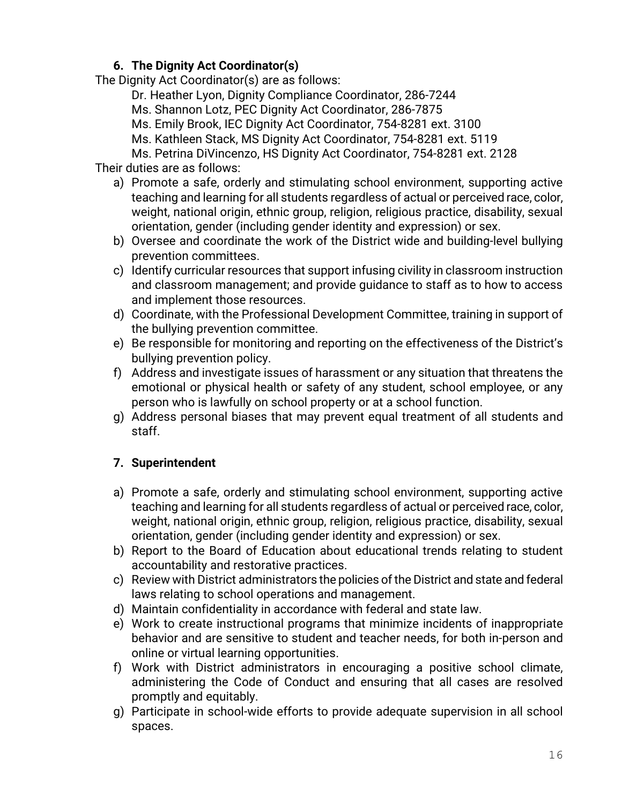# **6. The Dignity Act Coordinator(s)**

The Dignity Act Coordinator(s) are as follows:

Dr. Heather Lyon, Dignity Compliance Coordinator, 286-7244

Ms. Shannon Lotz, PEC Dignity Act Coordinator, 286-7875

Ms. Emily Brook, IEC Dignity Act Coordinator, 754-8281 ext. 3100

Ms. Kathleen Stack, MS Dignity Act Coordinator, 754-8281 ext. 5119

Ms. Petrina DiVincenzo, HS Dignity Act Coordinator, 754-8281 ext. 2128

Their duties are as follows:

- a) Promote a safe, orderly and stimulating school environment, supporting active teaching and learning for all students regardless of actual or perceived race, color, weight, national origin, ethnic group, religion, religious practice, disability, sexual orientation, gender (including gender identity and expression) or sex.
- b) Oversee and coordinate the work of the District wide and building-level bullying prevention committees.
- c) Identify curricular resources that support infusing civility in classroom instruction and classroom management; and provide guidance to staff as to how to access and implement those resources.
- d) Coordinate, with the Professional Development Committee, training in support of the bullying prevention committee.
- e) Be responsible for monitoring and reporting on the effectiveness of the District's bullying prevention policy.
- f) Address and investigate issues of harassment or any situation that threatens the emotional or physical health or safety of any student, school employee, or any person who is lawfully on school property or at a school function.
- g) Address personal biases that may prevent equal treatment of all students and staff.

# **7. Superintendent**

- a) Promote a safe, orderly and stimulating school environment, supporting active teaching and learning for all students regardless of actual or perceived race, color, weight, national origin, ethnic group, religion, religious practice, disability, sexual orientation, gender (including gender identity and expression) or sex.
- b) Report to the Board of Education about educational trends relating to student accountability and restorative practices.
- c) Review with District administrators the policies of the District and state and federal laws relating to school operations and management.
- d) Maintain confidentiality in accordance with federal and state law.
- e) Work to create instructional programs that minimize incidents of inappropriate behavior and are sensitive to student and teacher needs, for both in-person and online or virtual learning opportunities.
- f) Work with District administrators in encouraging a positive school climate, administering the Code of Conduct and ensuring that all cases are resolved promptly and equitably.
- g) Participate in school-wide efforts to provide adequate supervision in all school spaces.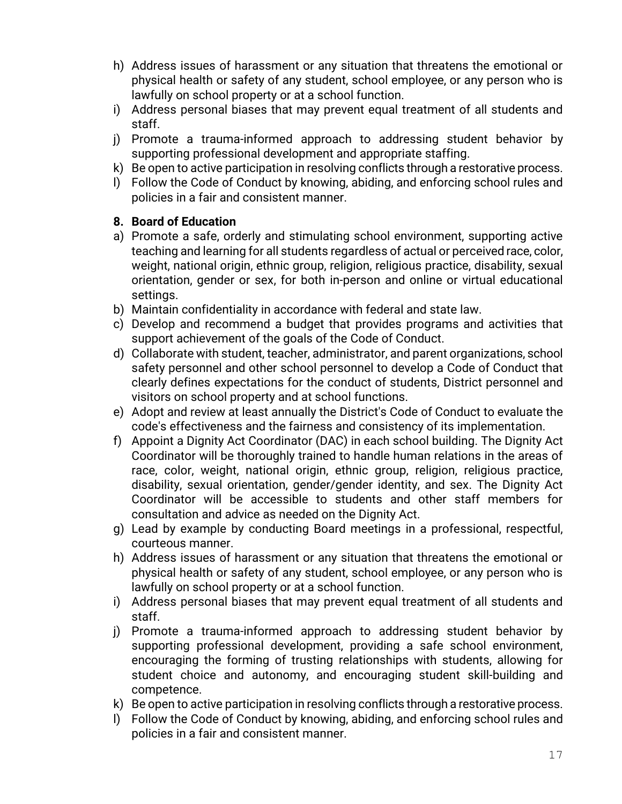- h) Address issues of harassment or any situation that threatens the emotional or physical health or safety of any student, school employee, or any person who is lawfully on school property or at a school function.
- i) Address personal biases that may prevent equal treatment of all students and staff.
- j) Promote a trauma-informed approach to addressing student behavior by supporting professional development and appropriate staffing.
- k) Be open to active participation in resolving conflicts through a restorative process.
- l) Follow the Code of Conduct by knowing, abiding, and enforcing school rules and policies in a fair and consistent manner.

# **8. Board of Education**

- a) Promote a safe, orderly and stimulating school environment, supporting active teaching and learning for all students regardless of actual or perceived race, color, weight, national origin, ethnic group, religion, religious practice, disability, sexual orientation, gender or sex, for both in-person and online or virtual educational settings.
- b) Maintain confidentiality in accordance with federal and state law.
- c) Develop and recommend a budget that provides programs and activities that support achievement of the goals of the Code of Conduct.
- d) Collaborate with student, teacher, administrator, and parent organizations, school safety personnel and other school personnel to develop a Code of Conduct that clearly defines expectations for the conduct of students, District personnel and visitors on school property and at school functions.
- e) Adopt and review at least annually the District's Code of Conduct to evaluate the code's effectiveness and the fairness and consistency of its implementation.
- f) Appoint a Dignity Act Coordinator (DAC) in each school building. The Dignity Act Coordinator will be thoroughly trained to handle human relations in the areas of race, color, weight, national origin, ethnic group, religion, religious practice, disability, sexual orientation, gender/gender identity, and sex. The Dignity Act Coordinator will be accessible to students and other staff members for consultation and advice as needed on the Dignity Act.
- g) Lead by example by conducting Board meetings in a professional, respectful, courteous manner.
- h) Address issues of harassment or any situation that threatens the emotional or physical health or safety of any student, school employee, or any person who is lawfully on school property or at a school function.
- i) Address personal biases that may prevent equal treatment of all students and staff.
- j) Promote a trauma-informed approach to addressing student behavior by supporting professional development, providing a safe school environment, encouraging the forming of trusting relationships with students, allowing for student choice and autonomy, and encouraging student skill-building and competence.
- k) Be open to active participation in resolving conflicts through a restorative process.
- l) Follow the Code of Conduct by knowing, abiding, and enforcing school rules and policies in a fair and consistent manner.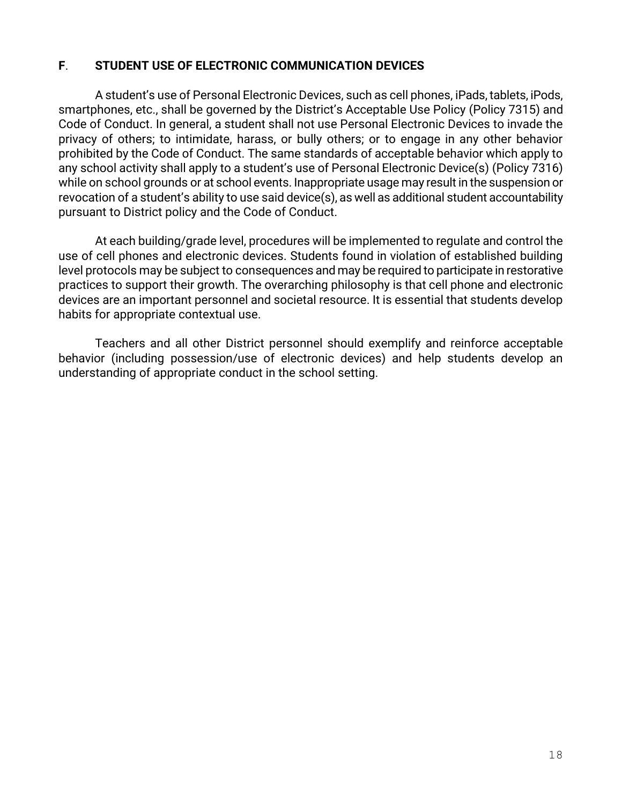#### **F**. **STUDENT USE OF ELECTRONIC COMMUNICATION DEVICES**

A student's use of Personal Electronic Devices, such as cell phones, iPads, tablets, iPods, smartphones, etc., shall be governed by the District's Acceptable Use Policy (Policy 7315) and Code of Conduct. In general, a student shall not use Personal Electronic Devices to invade the privacy of others; to intimidate, harass, or bully others; or to engage in any other behavior prohibited by the Code of Conduct. The same standards of acceptable behavior which apply to any school activity shall apply to a student's use of Personal Electronic Device(s) (Policy 7316) while on school grounds or at school events. Inappropriate usage may result in the suspension or revocation of a student's ability to use said device(s), as well as additional student accountability pursuant to District policy and the Code of Conduct.

At each building/grade level, procedures will be implemented to regulate and control the use of cell phones and electronic devices. Students found in violation of established building level protocols may be subject to consequences and may be required to participate in restorative practices to support their growth. The overarching philosophy is that cell phone and electronic devices are an important personnel and societal resource. It is essential that students develop habits for appropriate contextual use.

Teachers and all other District personnel should exemplify and reinforce acceptable behavior (including possession/use of electronic devices) and help students develop an understanding of appropriate conduct in the school setting.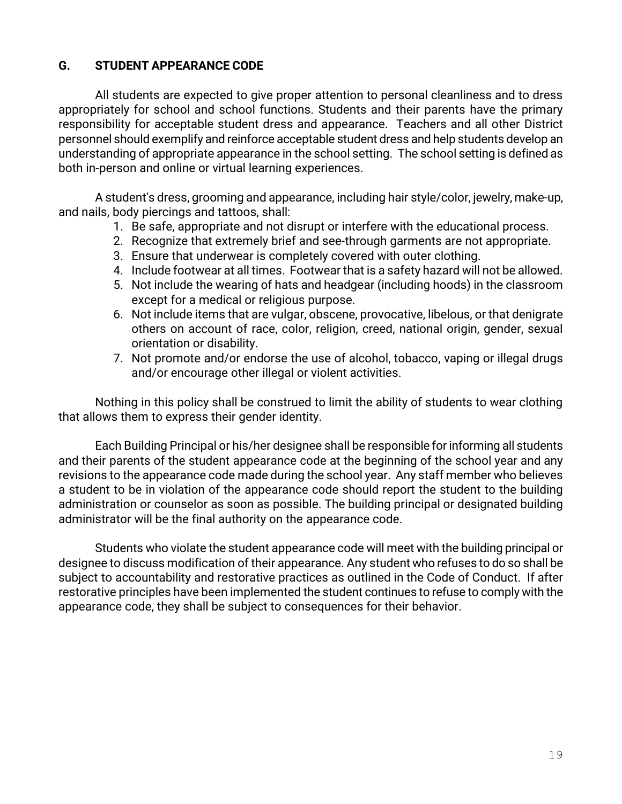## **G. STUDENT APPEARANCE CODE**

All students are expected to give proper attention to personal cleanliness and to dress appropriately for school and school functions. Students and their parents have the primary responsibility for acceptable student dress and appearance. Teachers and all other District personnel should exemplify and reinforce acceptable student dress and help students develop an understanding of appropriate appearance in the school setting. The school setting is defined as both in-person and online or virtual learning experiences.

A student's dress, grooming and appearance, including hair style/color, jewelry, make-up, and nails, body piercings and tattoos, shall:

- 1. Be safe, appropriate and not disrupt or interfere with the educational process.
- 2. Recognize that extremely brief and see-through garments are not appropriate.
- 3. Ensure that underwear is completely covered with outer clothing.
- 4. Include footwear at all times. Footwear that is a safety hazard will not be allowed.
- 5. Not include the wearing of hats and headgear (including hoods) in the classroom except for a medical or religious purpose.
- 6. Not include items that are vulgar, obscene, provocative, libelous, or that denigrate others on account of race, color, religion, creed, national origin, gender, sexual orientation or disability.
- 7. Not promote and/or endorse the use of alcohol, tobacco, vaping or illegal drugs and/or encourage other illegal or violent activities.

Nothing in this policy shall be construed to limit the ability of students to wear clothing that allows them to express their gender identity.

Each Building Principal or his/her designee shall be responsible for informing all students and their parents of the student appearance code at the beginning of the school year and any revisions to the appearance code made during the school year. Any staff member who believes a student to be in violation of the appearance code should report the student to the building administration or counselor as soon as possible. The building principal or designated building administrator will be the final authority on the appearance code.

Students who violate the student appearance code will meet with the building principal or designee to discuss modification of their appearance. Any student who refuses to do so shall be subject to accountability and restorative practices as outlined in the Code of Conduct. If after restorative principles have been implemented the student continues to refuse to comply with the appearance code, they shall be subject to consequences for their behavior.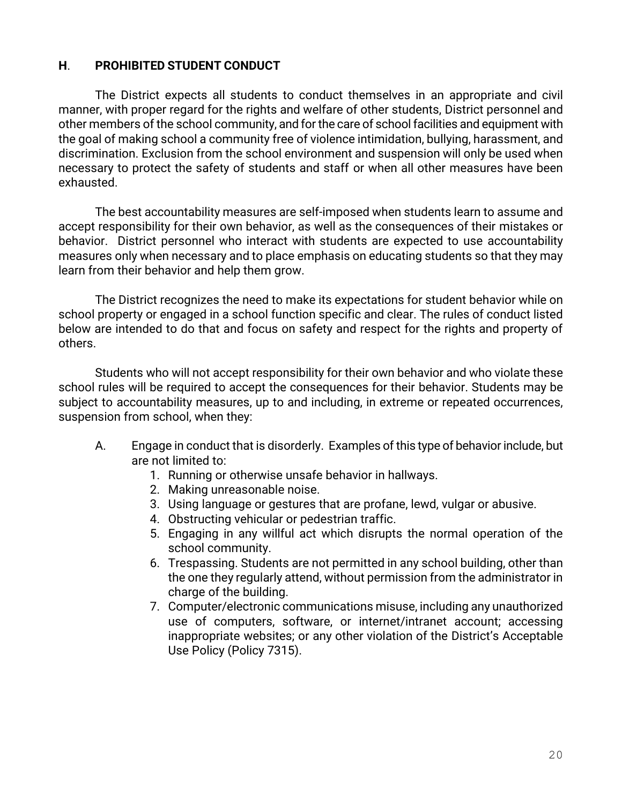#### **H**. **PROHIBITED STUDENT CONDUCT**

The District expects all students to conduct themselves in an appropriate and civil manner, with proper regard for the rights and welfare of other students, District personnel and other members of the school community, and for the care of school facilities and equipment with the goal of making school a community free of violence intimidation, bullying, harassment, and discrimination. Exclusion from the school environment and suspension will only be used when necessary to protect the safety of students and staff or when all other measures have been exhausted.

The best accountability measures are self-imposed when students learn to assume and accept responsibility for their own behavior, as well as the consequences of their mistakes or behavior. District personnel who interact with students are expected to use accountability measures only when necessary and to place emphasis on educating students so that they may learn from their behavior and help them grow.

The District recognizes the need to make its expectations for student behavior while on school property or engaged in a school function specific and clear. The rules of conduct listed below are intended to do that and focus on safety and respect for the rights and property of others.

Students who will not accept responsibility for their own behavior and who violate these school rules will be required to accept the consequences for their behavior. Students may be subject to accountability measures, up to and including, in extreme or repeated occurrences, suspension from school, when they:

- A. Engage in conduct that is disorderly. Examples of this type of behavior include, but are not limited to:
	- 1. Running or otherwise unsafe behavior in hallways.
	- 2. Making unreasonable noise.
	- 3. Using language or gestures that are profane, lewd, vulgar or abusive.
	- 4. Obstructing vehicular or pedestrian traffic.
	- 5. Engaging in any willful act which disrupts the normal operation of the school community.
	- 6. Trespassing. Students are not permitted in any school building, other than the one they regularly attend, without permission from the administrator in charge of the building.
	- 7. Computer/electronic communications misuse, including any unauthorized use of computers, software, or internet/intranet account; accessing inappropriate websites; or any other violation of the District's Acceptable Use Policy (Policy 7315).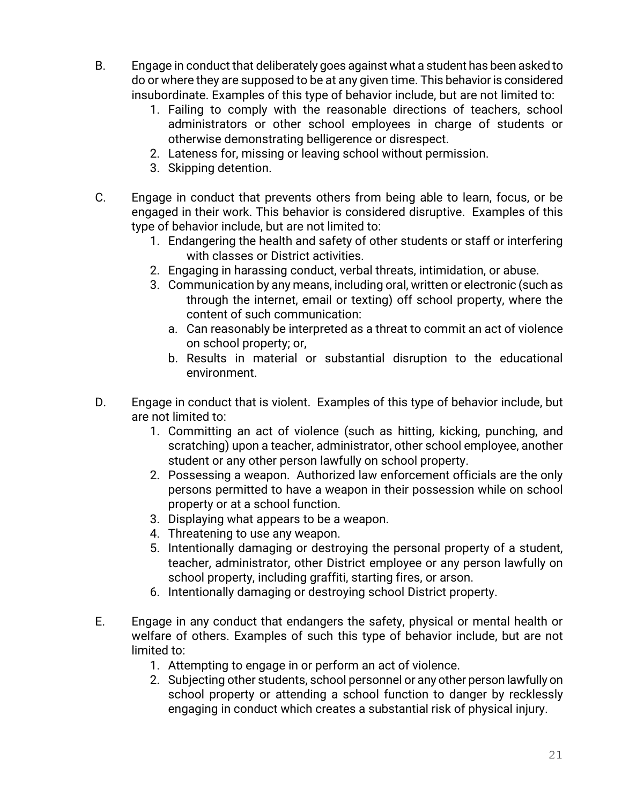- B. Engage in conduct that deliberately goes against what a student has been asked to do or where they are supposed to be at any given time. This behavior is considered insubordinate. Examples of this type of behavior include, but are not limited to:
	- 1. Failing to comply with the reasonable directions of teachers, school administrators or other school employees in charge of students or otherwise demonstrating belligerence or disrespect.
	- 2. Lateness for, missing or leaving school without permission.
	- 3. Skipping detention.
- C. Engage in conduct that prevents others from being able to learn, focus, or be engaged in their work. This behavior is considered disruptive. Examples of this type of behavior include, but are not limited to:
	- 1. Endangering the health and safety of other students or staff or interfering with classes or District activities.
	- 2. Engaging in harassing conduct, verbal threats, intimidation, or abuse.
	- 3. Communication by any means, including oral, written or electronic (such as through the internet, email or texting) off school property, where the content of such communication:
		- a. Can reasonably be interpreted as a threat to commit an act of violence on school property; or,
		- b. Results in material or substantial disruption to the educational environment.
- D. Engage in conduct that is violent. Examples of this type of behavior include, but are not limited to:
	- 1. Committing an act of violence (such as hitting, kicking, punching, and scratching) upon a teacher, administrator, other school employee, another student or any other person lawfully on school property.
	- 2. Possessing a weapon. Authorized law enforcement officials are the only persons permitted to have a weapon in their possession while on school property or at a school function.
	- 3. Displaying what appears to be a weapon.
	- 4. Threatening to use any weapon.
	- 5. Intentionally damaging or destroying the personal property of a student, teacher, administrator, other District employee or any person lawfully on school property, including graffiti, starting fires, or arson.
	- 6. Intentionally damaging or destroying school District property.
- E. Engage in any conduct that endangers the safety, physical or mental health or welfare of others. Examples of such this type of behavior include, but are not limited to:
	- 1. Attempting to engage in or perform an act of violence.
	- 2. Subjecting other students, school personnel or any other person lawfully on school property or attending a school function to danger by recklessly engaging in conduct which creates a substantial risk of physical injury.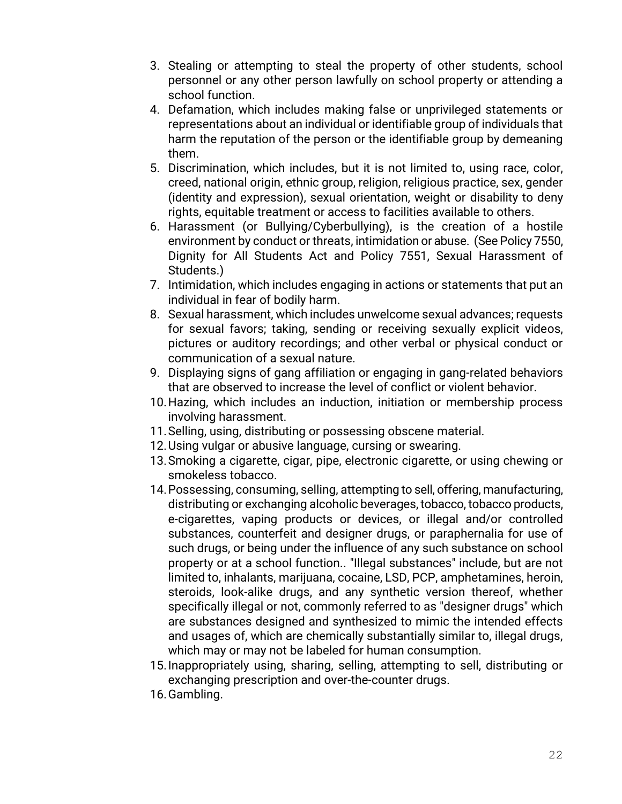- 3. Stealing or attempting to steal the property of other students, school personnel or any other person lawfully on school property or attending a school function.
- 4. Defamation, which includes making false or unprivileged statements or representations about an individual or identifiable group of individuals that harm the reputation of the person or the identifiable group by demeaning them.
- 5. Discrimination, which includes, but it is not limited to, using race, color, creed, national origin, ethnic group, religion, religious practice, sex, gender (identity and expression), sexual orientation, weight or disability to deny rights, equitable treatment or access to facilities available to others.
- 6. Harassment (or Bullying/Cyberbullying), is the creation of a hostile environment by conduct or threats, intimidation or abuse. (See Policy 7550, Dignity for All Students Act and Policy 7551, Sexual Harassment of Students.)
- 7. Intimidation, which includes engaging in actions or statements that put an individual in fear of bodily harm.
- 8. Sexual harassment, which includes unwelcome sexual advances; requests for sexual favors; taking, sending or receiving sexually explicit videos, pictures or auditory recordings; and other verbal or physical conduct or communication of a sexual nature.
- 9. Displaying signs of gang affiliation or engaging in gang-related behaviors that are observed to increase the level of conflict or violent behavior.
- 10.Hazing, which includes an induction, initiation or membership process involving harassment.
- 11.Selling, using, distributing or possessing obscene material.
- 12.Using vulgar or abusive language, cursing or swearing.
- 13.Smoking a cigarette, cigar, pipe, electronic cigarette, or using chewing or smokeless tobacco.
- 14.Possessing, consuming, selling, attempting to sell, offering, manufacturing, distributing or exchanging alcoholic beverages, tobacco, tobacco products, e-cigarettes, vaping products or devices, or illegal and/or controlled substances, counterfeit and designer drugs, or paraphernalia for use of such drugs, or being under the influence of any such substance on school property or at a school function.. "Illegal substances" include, but are not limited to, inhalants, marijuana, cocaine, LSD, PCP, amphetamines, heroin, steroids, look-alike drugs, and any synthetic version thereof, whether specifically illegal or not, commonly referred to as "designer drugs" which are substances designed and synthesized to mimic the intended effects and usages of, which are chemically substantially similar to, illegal drugs, which may or may not be labeled for human consumption.
- 15.Inappropriately using, sharing, selling, attempting to sell, distributing or exchanging prescription and over-the-counter drugs.
- 16.Gambling.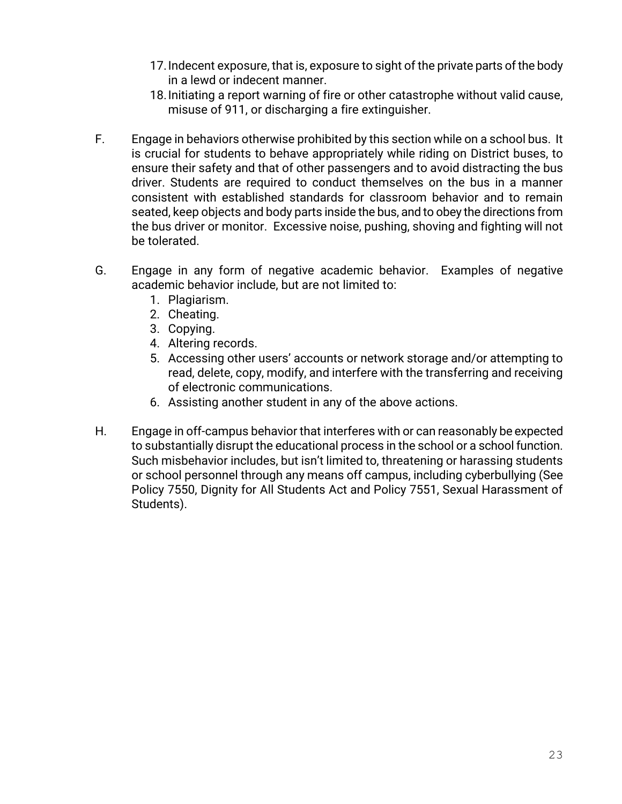- 17.Indecent exposure, that is, exposure to sight of the private parts of the body in a lewd or indecent manner.
- 18.Initiating a report warning of fire or other catastrophe without valid cause, misuse of 911, or discharging a fire extinguisher.
- F. Engage in behaviors otherwise prohibited by this section while on a school bus. It is crucial for students to behave appropriately while riding on District buses, to ensure their safety and that of other passengers and to avoid distracting the bus driver. Students are required to conduct themselves on the bus in a manner consistent with established standards for classroom behavior and to remain seated, keep objects and body parts inside the bus, and to obey the directions from the bus driver or monitor. Excessive noise, pushing, shoving and fighting will not be tolerated.
- G. Engage in any form of negative academic behavior. Examples of negative academic behavior include, but are not limited to:
	- 1. Plagiarism.
	- 2. Cheating.
	- 3. Copying.
	- 4. Altering records.
	- 5. Accessing other users' accounts or network storage and/or attempting to read, delete, copy, modify, and interfere with the transferring and receiving of electronic communications.
	- 6. Assisting another student in any of the above actions.
- H. Engage in off-campus behavior that interferes with or can reasonably be expected to substantially disrupt the educational process in the school or a school function. Such misbehavior includes, but isn't limited to, threatening or harassing students or school personnel through any means off campus, including cyberbullying (See Policy 7550, Dignity for All Students Act and Policy 7551, Sexual Harassment of Students).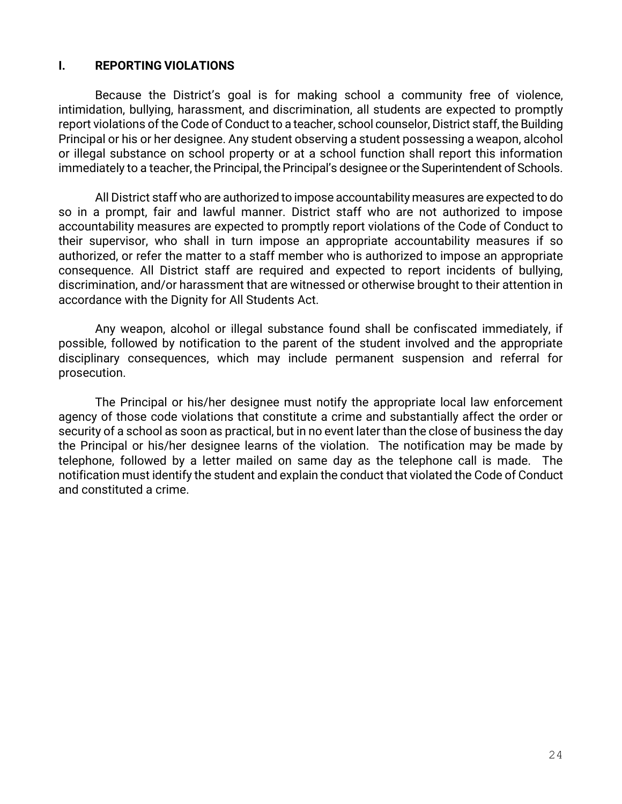#### **I. REPORTING VIOLATIONS**

Because the District's goal is for making school a community free of violence, intimidation, bullying, harassment, and discrimination, all students are expected to promptly report violations of the Code of Conduct to a teacher, school counselor, District staff, the Building Principal or his or her designee. Any student observing a student possessing a weapon, alcohol or illegal substance on school property or at a school function shall report this information immediately to a teacher, the Principal, the Principal's designee or the Superintendent of Schools.

All District staff who are authorized to impose accountability measures are expected to do so in a prompt, fair and lawful manner. District staff who are not authorized to impose accountability measures are expected to promptly report violations of the Code of Conduct to their supervisor, who shall in turn impose an appropriate accountability measures if so authorized, or refer the matter to a staff member who is authorized to impose an appropriate consequence. All District staff are required and expected to report incidents of bullying, discrimination, and/or harassment that are witnessed or otherwise brought to their attention in accordance with the Dignity for All Students Act.

Any weapon, alcohol or illegal substance found shall be confiscated immediately, if possible, followed by notification to the parent of the student involved and the appropriate disciplinary consequences, which may include permanent suspension and referral for prosecution.

The Principal or his/her designee must notify the appropriate local law enforcement agency of those code violations that constitute a crime and substantially affect the order or security of a school as soon as practical, but in no event later than the close of business the day the Principal or his/her designee learns of the violation. The notification may be made by telephone, followed by a letter mailed on same day as the telephone call is made. The notification must identify the student and explain the conduct that violated the Code of Conduct and constituted a crime.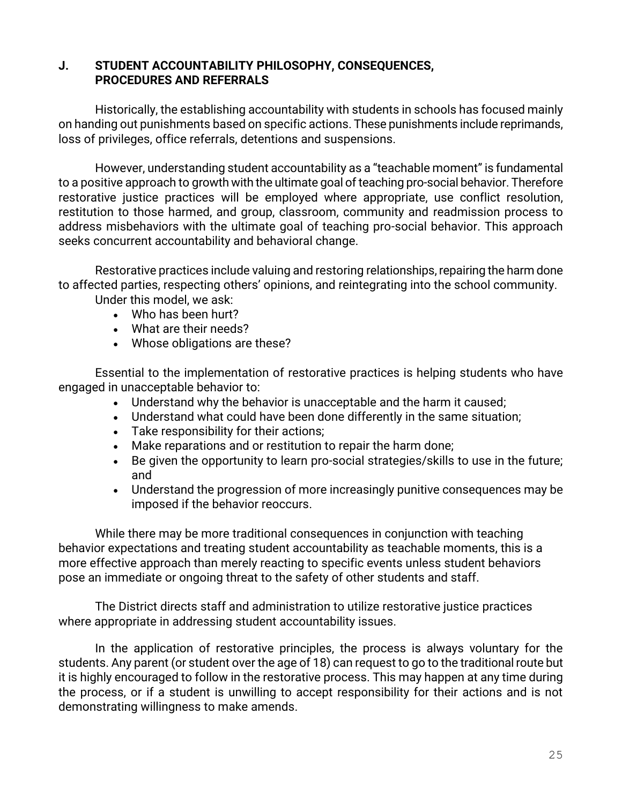#### **J. STUDENT ACCOUNTABILITY PHILOSOPHY, CONSEQUENCES, PROCEDURES AND REFERRALS**

Historically, the establishing accountability with students in schools has focused mainly on handing out punishments based on specific actions. These punishments include reprimands, loss of privileges, office referrals, detentions and suspensions.

However, understanding student accountability as a "teachable moment" is fundamental to a positive approach to growth with the ultimate goal of teaching pro-social behavior. Therefore restorative justice practices will be employed where appropriate, use conflict resolution, restitution to those harmed, and group, classroom, community and readmission process to address misbehaviors with the ultimate goal of teaching pro-social behavior. This approach seeks concurrent accountability and behavioral change.

Restorative practices include valuing and restoring relationships, repairing the harm done to affected parties, respecting others' opinions, and reintegrating into the school community. Under this model, we ask:

• Who has been hurt?

- What are their needs?
- Whose obligations are these?

Essential to the implementation of restorative practices is helping students who have engaged in unacceptable behavior to:

- Understand why the behavior is unacceptable and the harm it caused;
- Understand what could have been done differently in the same situation;
- Take responsibility for their actions;
- Make reparations and or restitution to repair the harm done;
- Be given the opportunity to learn pro-social strategies/skills to use in the future; and
- Understand the progression of more increasingly punitive consequences may be imposed if the behavior reoccurs.

While there may be more traditional consequences in conjunction with teaching behavior expectations and treating student accountability as teachable moments, this is a more effective approach than merely reacting to specific events unless student behaviors pose an immediate or ongoing threat to the safety of other students and staff.

The District directs staff and administration to utilize restorative justice practices where appropriate in addressing student accountability issues.

In the application of restorative principles, the process is always voluntary for the students. Any parent (or student over the age of 18) can request to go to the traditional route but it is highly encouraged to follow in the restorative process. This may happen at any time during the process, or if a student is unwilling to accept responsibility for their actions and is not demonstrating willingness to make amends.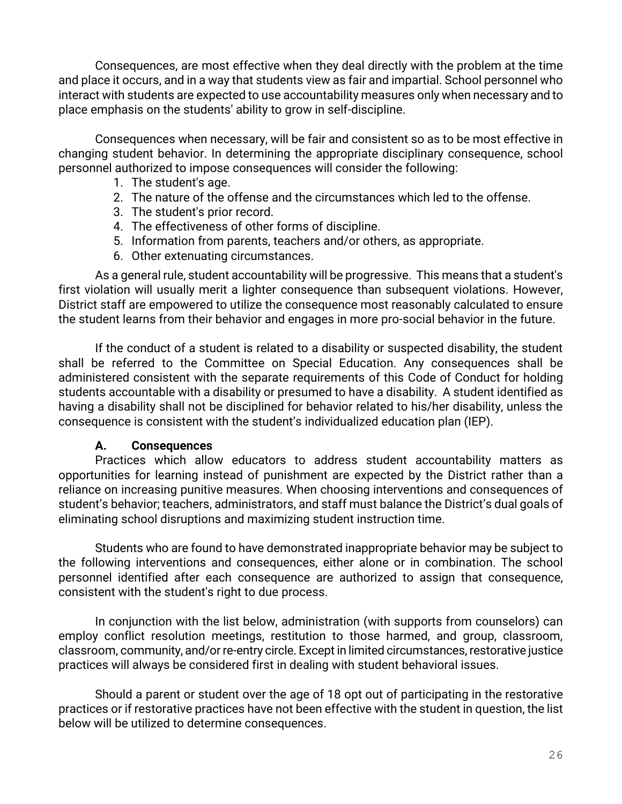Consequences, are most effective when they deal directly with the problem at the time and place it occurs, and in a way that students view as fair and impartial. School personnel who interact with students are expected to use accountability measures only when necessary and to place emphasis on the students' ability to grow in self-discipline.

Consequences when necessary, will be fair and consistent so as to be most effective in changing student behavior. In determining the appropriate disciplinary consequence, school personnel authorized to impose consequences will consider the following:

- 1. The student's age.
- 2. The nature of the offense and the circumstances which led to the offense.
- 3. The student's prior record.
- 4. The effectiveness of other forms of discipline.
- 5. Information from parents, teachers and/or others, as appropriate.
- 6. Other extenuating circumstances.

As a general rule, student accountability will be progressive. This means that a student's first violation will usually merit a lighter consequence than subsequent violations. However, District staff are empowered to utilize the consequence most reasonably calculated to ensure the student learns from their behavior and engages in more pro-social behavior in the future.

If the conduct of a student is related to a disability or suspected disability, the student shall be referred to the Committee on Special Education. Any consequences shall be administered consistent with the separate requirements of this Code of Conduct for holding students accountable with a disability or presumed to have a disability. A student identified as having a disability shall not be disciplined for behavior related to his/her disability, unless the consequence is consistent with the student's individualized education plan (IEP).

#### **A. Consequences**

Practices which allow educators to address student accountability matters as opportunities for learning instead of punishment are expected by the District rather than a reliance on increasing punitive measures. When choosing interventions and consequences of student's behavior; teachers, administrators, and staff must balance the District's dual goals of eliminating school disruptions and maximizing student instruction time.

Students who are found to have demonstrated inappropriate behavior may be subject to the following interventions and consequences, either alone or in combination. The school personnel identified after each consequence are authorized to assign that consequence, consistent with the student's right to due process.

In conjunction with the list below, administration (with supports from counselors) can employ conflict resolution meetings, restitution to those harmed, and group, classroom, classroom, community, and/or re-entry circle. Except in limited circumstances, restorative justice practices will always be considered first in dealing with student behavioral issues.

Should a parent or student over the age of 18 opt out of participating in the restorative practices or if restorative practices have not been effective with the student in question, the list below will be utilized to determine consequences.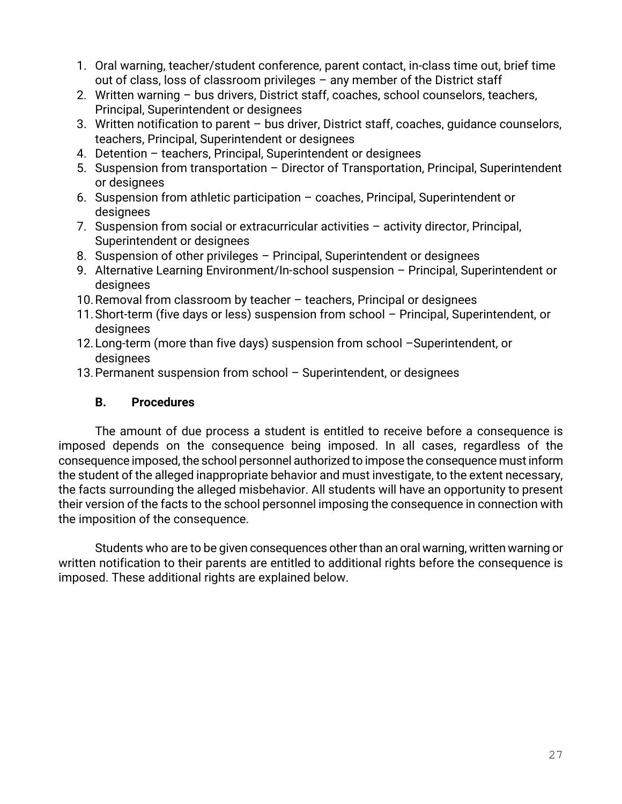- 1. Oral warning, teacher/student conference, parent contact, in-class time out, brief time out of class, loss of classroom privileges – any member of the District staff
- 2. Written warning bus drivers, District staff, coaches, school counselors, teachers, Principal, Superintendent or designees
- 3. Written notification to parent bus driver, District staff, coaches, guidance counselors, teachers, Principal, Superintendent or designees
- 4. Detention teachers, Principal, Superintendent or designees
- 5. Suspension from transportation Director of Transportation, Principal, Superintendent or designees
- 6. Suspension from athletic participation coaches, Principal, Superintendent or designees
- 7. Suspension from social or extracurricular activities activity director, Principal, Superintendent or designees
- 8. Suspension of other privileges Principal, Superintendent or designees
- 9. Alternative Learning Environment/In-school suspension Principal, Superintendent or designees
- 10.Removal from classroom by teacher teachers, Principal or designees
- 11.Short-term (five days or less) suspension from school Principal, Superintendent, or designees
- 12.Long-term (more than five days) suspension from school –Superintendent, or designees
- 13.Permanent suspension from school Superintendent, or designees

# **B. Procedures**

The amount of due process a student is entitled to receive before a consequence is imposed depends on the consequence being imposed. In all cases, regardless of the consequence imposed, the school personnel authorized to impose the consequence must inform the student of the alleged inappropriate behavior and must investigate, to the extent necessary, the facts surrounding the alleged misbehavior. All students will have an opportunity to present their version of the facts to the school personnel imposing the consequence in connection with the imposition of the consequence.

Students who are to be given consequences other than an oral warning, written warning or written notification to their parents are entitled to additional rights before the consequence is imposed. These additional rights are explained below.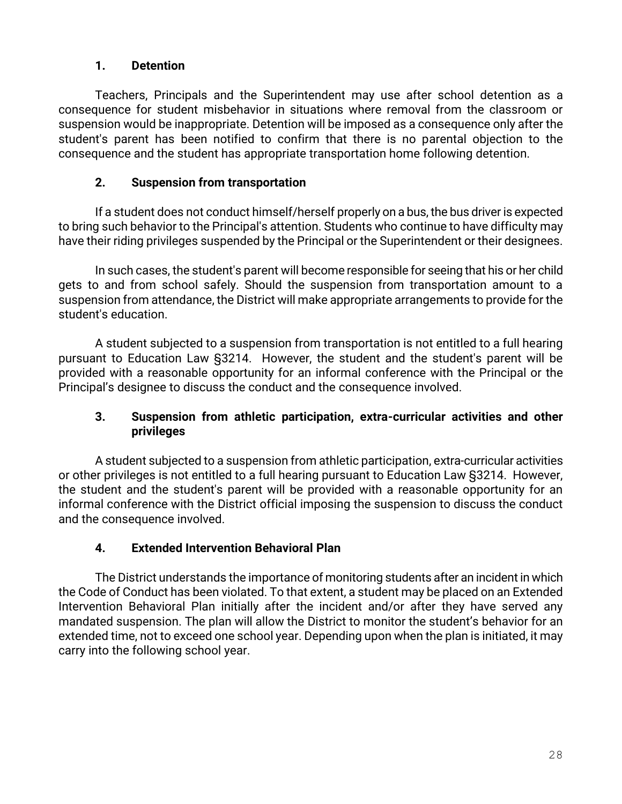# **1. Detention**

Teachers, Principals and the Superintendent may use after school detention as a consequence for student misbehavior in situations where removal from the classroom or suspension would be inappropriate. Detention will be imposed as a consequence only after the student's parent has been notified to confirm that there is no parental objection to the consequence and the student has appropriate transportation home following detention.

# **2. Suspension from transportation**

If a student does not conduct himself/herself properly on a bus, the bus driver is expected to bring such behavior to the Principal's attention. Students who continue to have difficulty may have their riding privileges suspended by the Principal or the Superintendent or their designees.

In such cases, the student's parent will become responsible for seeing that his or her child gets to and from school safely. Should the suspension from transportation amount to a suspension from attendance, the District will make appropriate arrangements to provide for the student's education.

A student subjected to a suspension from transportation is not entitled to a full hearing pursuant to Education Law §3214. However, the student and the student's parent will be provided with a reasonable opportunity for an informal conference with the Principal or the Principal's designee to discuss the conduct and the consequence involved.

# **3. Suspension from athletic participation, extra-curricular activities and other privileges**

A student subjected to a suspension from athletic participation, extra-curricular activities or other privileges is not entitled to a full hearing pursuant to Education Law §3214. However, the student and the student's parent will be provided with a reasonable opportunity for an informal conference with the District official imposing the suspension to discuss the conduct and the consequence involved.

# **4. Extended Intervention Behavioral Plan**

The District understands the importance of monitoring students after an incident in which the Code of Conduct has been violated. To that extent, a student may be placed on an Extended Intervention Behavioral Plan initially after the incident and/or after they have served any mandated suspension. The plan will allow the District to monitor the student's behavior for an extended time, not to exceed one school year. Depending upon when the plan is initiated, it may carry into the following school year.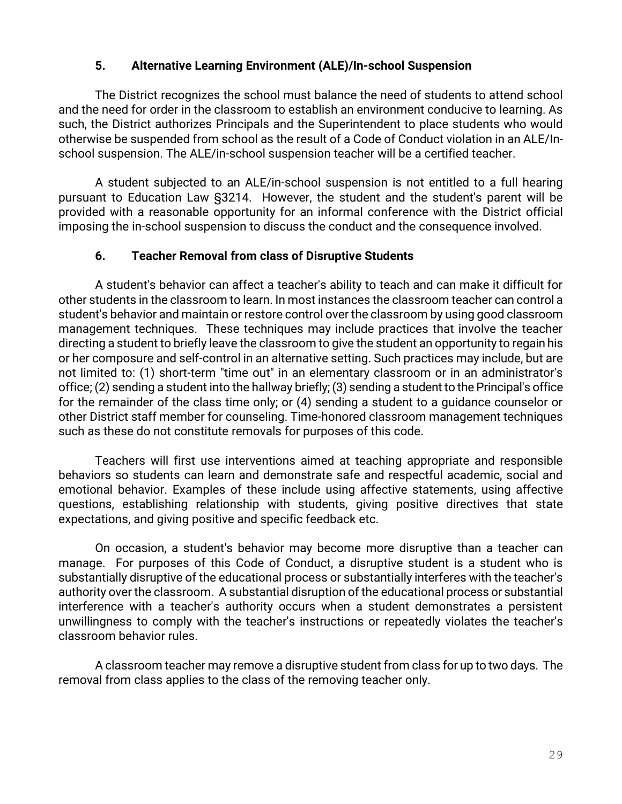#### **5. Alternative Learning Environment (ALE)/In-school Suspension**

The District recognizes the school must balance the need of students to attend school and the need for order in the classroom to establish an environment conducive to learning. As such, the District authorizes Principals and the Superintendent to place students who would otherwise be suspended from school as the result of a Code of Conduct violation in an ALE/Inschool suspension. The ALE/in-school suspension teacher will be a certified teacher.

A student subjected to an ALE/in-school suspension is not entitled to a full hearing pursuant to Education Law §3214. However, the student and the student's parent will be provided with a reasonable opportunity for an informal conference with the District official imposing the in-school suspension to discuss the conduct and the consequence involved.

#### **6. Teacher Removal from class of Disruptive Students**

A student's behavior can affect a teacher's ability to teach and can make it difficult for other students in the classroom to learn. In most instances the classroom teacher can control a student's behavior and maintain or restore control over the classroom by using good classroom management techniques. These techniques may include practices that involve the teacher directing a student to briefly leave the classroom to give the student an opportunity to regain his or her composure and self-control in an alternative setting. Such practices may include, but are not limited to: (1) short-term "time out" in an elementary classroom or in an administrator's office; (2) sending a student into the hallway briefly; (3) sending a student to the Principal's office for the remainder of the class time only; or (4) sending a student to a guidance counselor or other District staff member for counseling. Time-honored classroom management techniques such as these do not constitute removals for purposes of this code.

Teachers will first use interventions aimed at teaching appropriate and responsible behaviors so students can learn and demonstrate safe and respectful academic, social and emotional behavior. Examples of these include using affective statements, using affective questions, establishing relationship with students, giving positive directives that state expectations, and giving positive and specific feedback etc.

On occasion, a student's behavior may become more disruptive than a teacher can manage. For purposes of this Code of Conduct, a disruptive student is a student who is substantially disruptive of the educational process or substantially interferes with the teacher's authority over the classroom. A substantial disruption of the educational process or substantial interference with a teacher's authority occurs when a student demonstrates a persistent unwillingness to comply with the teacher's instructions or repeatedly violates the teacher's classroom behavior rules.

A classroom teacher may remove a disruptive student from class for up to two days. The removal from class applies to the class of the removing teacher only.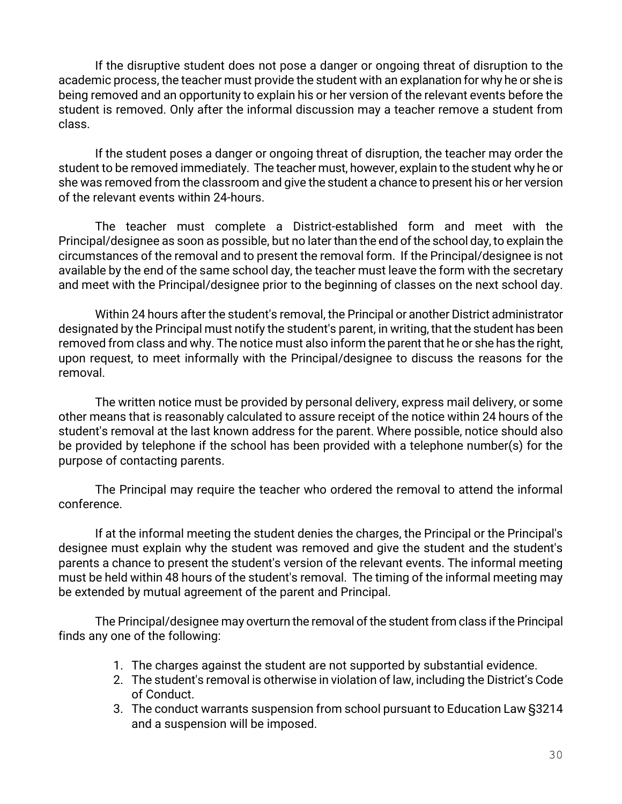If the disruptive student does not pose a danger or ongoing threat of disruption to the academic process, the teacher must provide the student with an explanation for why he or she is being removed and an opportunity to explain his or her version of the relevant events before the student is removed. Only after the informal discussion may a teacher remove a student from class.

If the student poses a danger or ongoing threat of disruption, the teacher may order the student to be removed immediately. The teacher must, however, explain to the student why he or she was removed from the classroom and give the student a chance to present his or her version of the relevant events within 24-hours.

The teacher must complete a District-established form and meet with the Principal/designee as soon as possible, but no later than the end of the school day, to explain the circumstances of the removal and to present the removal form. If the Principal/designee is not available by the end of the same school day, the teacher must leave the form with the secretary and meet with the Principal/designee prior to the beginning of classes on the next school day.

Within 24 hours after the student's removal, the Principal or another District administrator designated by the Principal must notify the student's parent, in writing, that the student has been removed from class and why. The notice must also inform the parent that he or she has the right, upon request, to meet informally with the Principal/designee to discuss the reasons for the removal.

The written notice must be provided by personal delivery, express mail delivery, or some other means that is reasonably calculated to assure receipt of the notice within 24 hours of the student's removal at the last known address for the parent. Where possible, notice should also be provided by telephone if the school has been provided with a telephone number(s) for the purpose of contacting parents.

The Principal may require the teacher who ordered the removal to attend the informal conference.

If at the informal meeting the student denies the charges, the Principal or the Principal's designee must explain why the student was removed and give the student and the student's parents a chance to present the student's version of the relevant events. The informal meeting must be held within 48 hours of the student's removal. The timing of the informal meeting may be extended by mutual agreement of the parent and Principal.

The Principal/designee may overturn the removal of the student from class if the Principal finds any one of the following:

- 1. The charges against the student are not supported by substantial evidence.
- 2. The student's removal is otherwise in violation of law, including the District's Code of Conduct.
- 3. The conduct warrants suspension from school pursuant to Education Law §3214 and a suspension will be imposed.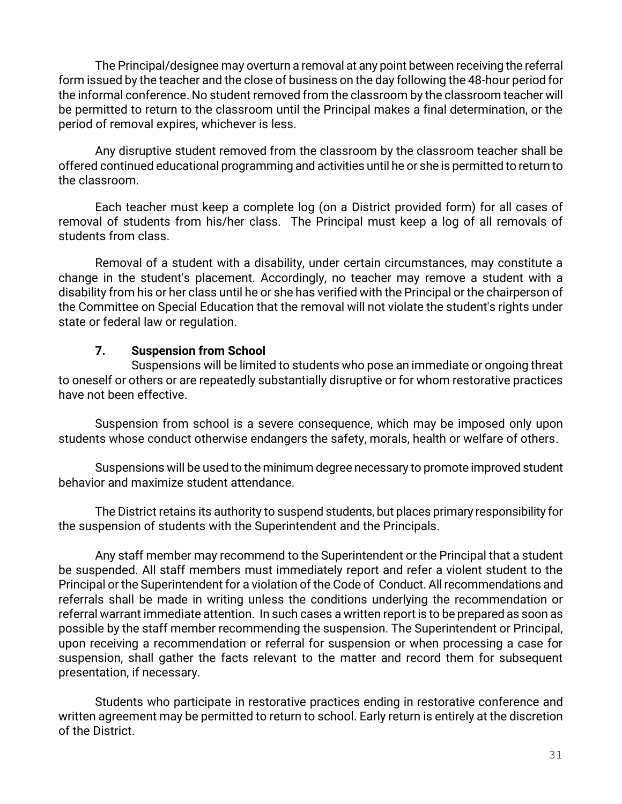The Principal/designee may overturn a removal at any point between receiving the referral form issued by the teacher and the close of business on the day following the 48-hour period for the informal conference. No student removed from the classroom by the classroom teacher will be permitted to return to the classroom until the Principal makes a final determination, or the period of removal expires, whichever is less.

Any disruptive student removed from the classroom by the classroom teacher shall be offered continued educational programming and activities until he or she is permitted to return to the classroom.

Each teacher must keep a complete log (on a District provided form) for all cases of removal of students from his/her class. The Principal must keep a log of all removals of students from class.

Removal of a student with a disability, under certain circumstances, may constitute a change in the student's placement. Accordingly, no teacher may remove a student with a disability from his or her class until he or she has verified with the Principal or the chairperson of the Committee on Special Education that the removal will not violate the student's rights under state or federal law or regulation.

# **7. Suspension from School**

Suspensions will be limited to students who pose an immediate or ongoing threat to oneself or others or are repeatedly substantially disruptive or for whom restorative practices have not been effective.

Suspension from school is a severe consequence, which may be imposed only upon students whose conduct otherwise endangers the safety, morals, health or welfare of others.

Suspensions will be used to the minimum degree necessary to promote improved student behavior and maximize student attendance.

The District retains its authority to suspend students, but places primary responsibility for the suspension of students with the Superintendent and the Principals.

Any staff member may recommend to the Superintendent or the Principal that a student be suspended. All staff members must immediately report and refer a violent student to the Principal or the Superintendent for a violation of the Code of Conduct. All recommendations and referrals shall be made in writing unless the conditions underlying the recommendation or referral warrant immediate attention. In such cases a written report is to be prepared as soon as possible by the staff member recommending the suspension. The Superintendent or Principal, upon receiving a recommendation or referral for suspension or when processing a case for suspension, shall gather the facts relevant to the matter and record them for subsequent presentation, if necessary.

Students who participate in restorative practices ending in restorative conference and written agreement may be permitted to return to school. Early return is entirely at the discretion of the District.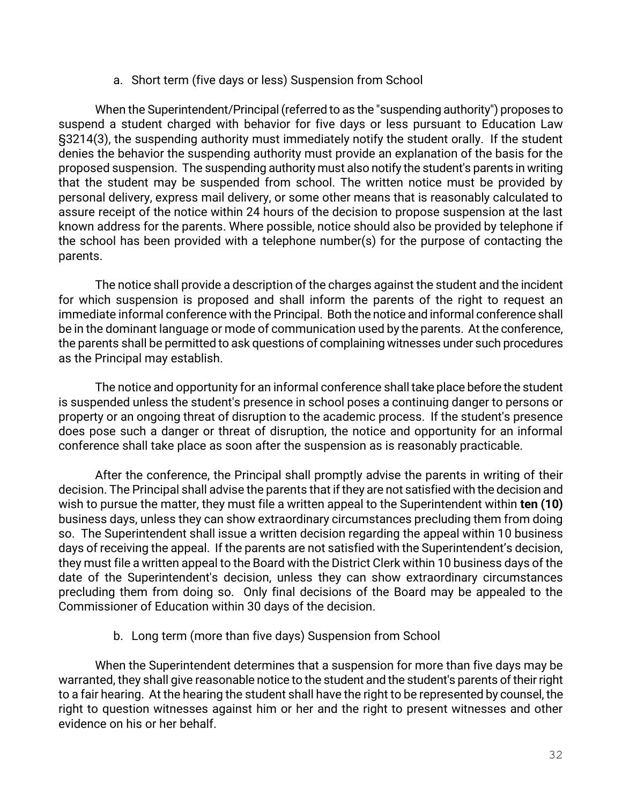a. Short term (five days or less) Suspension from School

When the Superintendent/Principal (referred to as the "suspending authority") proposes to suspend a student charged with behavior for five days or less pursuant to Education Law §3214(3), the suspending authority must immediately notify the student orally. If the student denies the behavior the suspending authority must provide an explanation of the basis for the proposed suspension. The suspending authority must also notify the student's parents in writing that the student may be suspended from school. The written notice must be provided by personal delivery, express mail delivery, or some other means that is reasonably calculated to assure receipt of the notice within 24 hours of the decision to propose suspension at the last known address for the parents. Where possible, notice should also be provided by telephone if the school has been provided with a telephone number(s) for the purpose of contacting the parents.

The notice shall provide a description of the charges against the student and the incident for which suspension is proposed and shall inform the parents of the right to request an immediate informal conference with the Principal. Both the notice and informal conference shall be in the dominant language or mode of communication used by the parents. At the conference, the parents shall be permitted to ask questions of complaining witnesses under such procedures as the Principal may establish.

The notice and opportunity for an informal conference shall take place before the student is suspended unless the student's presence in school poses a continuing danger to persons or property or an ongoing threat of disruption to the academic process. If the student's presence does pose such a danger or threat of disruption, the notice and opportunity for an informal conference shall take place as soon after the suspension as is reasonably practicable.

After the conference, the Principal shall promptly advise the parents in writing of their decision. The Principal shall advise the parents that if they are not satisfied with the decision and wish to pursue the matter, they must file a written appeal to the Superintendent within **ten (10)** business days, unless they can show extraordinary circumstances precluding them from doing so. The Superintendent shall issue a written decision regarding the appeal within 10 business days of receiving the appeal. If the parents are not satisfied with the Superintendent's decision, they must file a written appeal to the Board with the District Clerk within 10 business days of the date of the Superintendent's decision, unless they can show extraordinary circumstances precluding them from doing so. Only final decisions of the Board may be appealed to the Commissioner of Education within 30 days of the decision.

b. Long term (more than five days) Suspension from School

When the Superintendent determines that a suspension for more than five days may be warranted, they shall give reasonable notice to the student and the student's parents of their right to a fair hearing. At the hearing the student shall have the right to be represented by counsel, the right to question witnesses against him or her and the right to present witnesses and other evidence on his or her behalf.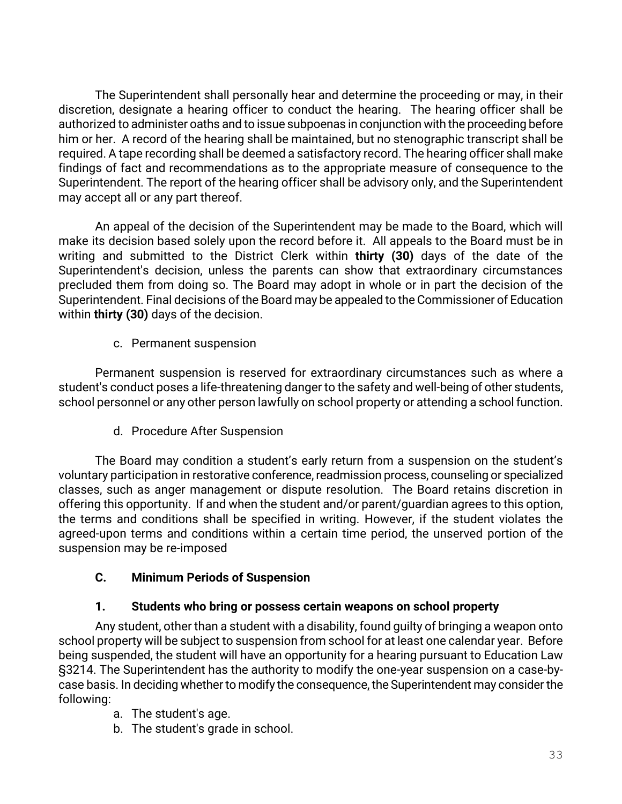The Superintendent shall personally hear and determine the proceeding or may, in their discretion, designate a hearing officer to conduct the hearing. The hearing officer shall be authorized to administer oaths and to issue subpoenas in conjunction with the proceeding before him or her. A record of the hearing shall be maintained, but no stenographic transcript shall be required. A tape recording shall be deemed a satisfactory record. The hearing officer shall make findings of fact and recommendations as to the appropriate measure of consequence to the Superintendent. The report of the hearing officer shall be advisory only, and the Superintendent may accept all or any part thereof.

An appeal of the decision of the Superintendent may be made to the Board, which will make its decision based solely upon the record before it. All appeals to the Board must be in writing and submitted to the District Clerk within **thirty (30)** days of the date of the Superintendent's decision, unless the parents can show that extraordinary circumstances precluded them from doing so. The Board may adopt in whole or in part the decision of the Superintendent. Final decisions of the Board may be appealed to the Commissioner of Education within **thirty (30)** days of the decision.

c. Permanent suspension

Permanent suspension is reserved for extraordinary circumstances such as where a student's conduct poses a life-threatening danger to the safety and well-being of other students, school personnel or any other person lawfully on school property or attending a school function.

d. Procedure After Suspension

The Board may condition a student's early return from a suspension on the student's voluntary participation in restorative conference, readmission process, counseling or specialized classes, such as anger management or dispute resolution. The Board retains discretion in offering this opportunity. If and when the student and/or parent/guardian agrees to this option, the terms and conditions shall be specified in writing. However, if the student violates the agreed-upon terms and conditions within a certain time period, the unserved portion of the suspension may be re-imposed

#### **C. Minimum Periods of Suspension**

#### **1. Students who bring or possess certain weapons on school property**

Any student, other than a student with a disability, found guilty of bringing a weapon onto school property will be subject to suspension from school for at least one calendar year. Before being suspended, the student will have an opportunity for a hearing pursuant to Education Law §3214. The Superintendent has the authority to modify the one-year suspension on a case-bycase basis. In deciding whether to modify the consequence, the Superintendent may consider the following:

- a. The student's age.
- b. The student's grade in school.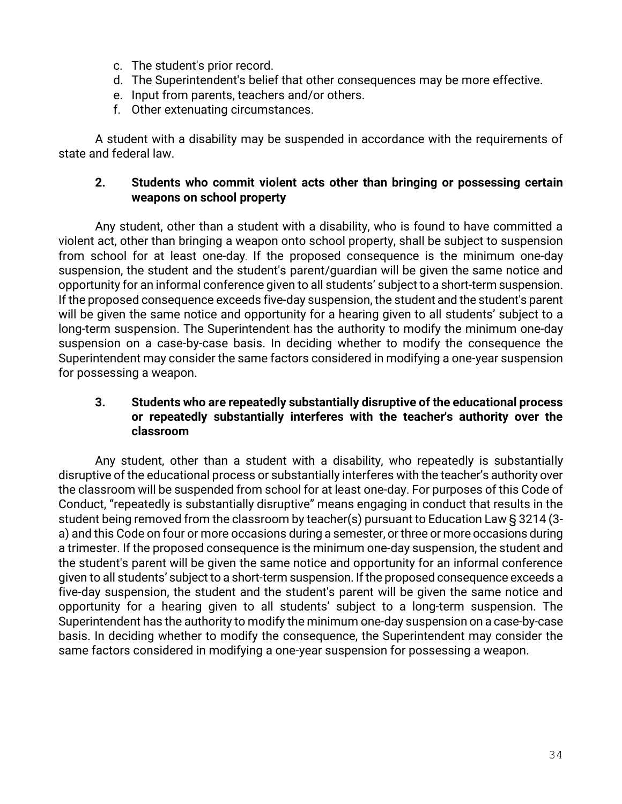- c. The student's prior record.
- d. The Superintendent's belief that other consequences may be more effective.
- e. Input from parents, teachers and/or others.
- f. Other extenuating circumstances.

A student with a disability may be suspended in accordance with the requirements of state and federal law.

#### **2. Students who commit violent acts other than bringing or possessing certain weapons on school property**

Any student, other than a student with a disability, who is found to have committed a violent act, other than bringing a weapon onto school property, shall be subject to suspension from school for at least one-day. If the proposed consequence is the minimum one-day suspension, the student and the student's parent/guardian will be given the same notice and opportunity for an informal conference given to all students' subject to a short-term suspension. If the proposed consequence exceeds five-day suspension, the student and the student's parent will be given the same notice and opportunity for a hearing given to all students' subject to a long-term suspension. The Superintendent has the authority to modify the minimum one-day suspension on a case-by-case basis. In deciding whether to modify the consequence the Superintendent may consider the same factors considered in modifying a one-year suspension for possessing a weapon.

#### **3. Students who are repeatedly substantially disruptive of the educational process or repeatedly substantially interferes with the teacher's authority over the classroom**

Any student, other than a student with a disability, who repeatedly is substantially disruptive of the educational process or substantially interferes with the teacher's authority over the classroom will be suspended from school for at least one-day. For purposes of this Code of Conduct, "repeatedly is substantially disruptive" means engaging in conduct that results in the student being removed from the classroom by teacher(s) pursuant to Education Law § 3214 (3 a) and this Code on four or more occasions during a semester, or three or more occasions during a trimester. If the proposed consequence is the minimum one-day suspension, the student and the student's parent will be given the same notice and opportunity for an informal conference given to all students' subject to a short-term suspension. If the proposed consequence exceeds a five-day suspension, the student and the student's parent will be given the same notice and opportunity for a hearing given to all students' subject to a long-term suspension. The Superintendent has the authority to modify the minimum one-day suspension on a case-by-case basis. In deciding whether to modify the consequence, the Superintendent may consider the same factors considered in modifying a one-year suspension for possessing a weapon.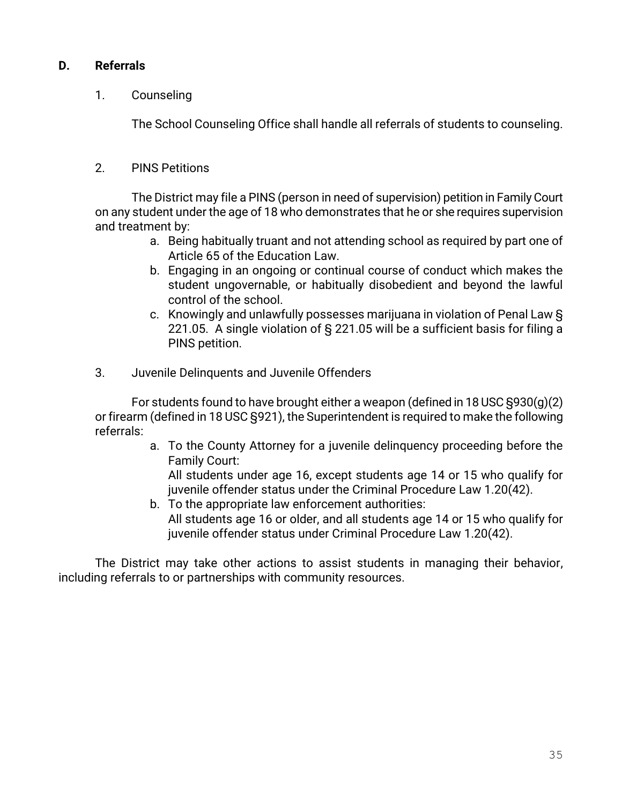## **D. Referrals**

1. Counseling

The School Counseling Office shall handle all referrals of students to counseling.

# 2. PINS Petitions

The District may file a PINS (person in need of supervision) petition in Family Court on any student under the age of 18 who demonstrates that he or she requires supervision and treatment by:

- a. Being habitually truant and not attending school as required by part one of Article 65 of the Education Law.
- b. Engaging in an ongoing or continual course of conduct which makes the student ungovernable, or habitually disobedient and beyond the lawful control of the school.
- c. Knowingly and unlawfully possesses marijuana in violation of Penal Law § 221.05. A single violation of § 221.05 will be a sufficient basis for filing a PINS petition.
- 3. Juvenile Delinquents and Juvenile Offenders

For students found to have brought either a weapon (defined in 18 USC §930(g)(2) or firearm (defined in 18 USC §921), the Superintendent is required to make the following referrals:

a. To the County Attorney for a juvenile delinquency proceeding before the Family Court:

All students under age 16, except students age 14 or 15 who qualify for juvenile offender status under the Criminal Procedure Law 1.20(42).

b. To the appropriate law enforcement authorities: All students age 16 or older, and all students age 14 or 15 who qualify for juvenile offender status under Criminal Procedure Law 1.20(42).

The District may take other actions to assist students in managing their behavior, including referrals to or partnerships with community resources.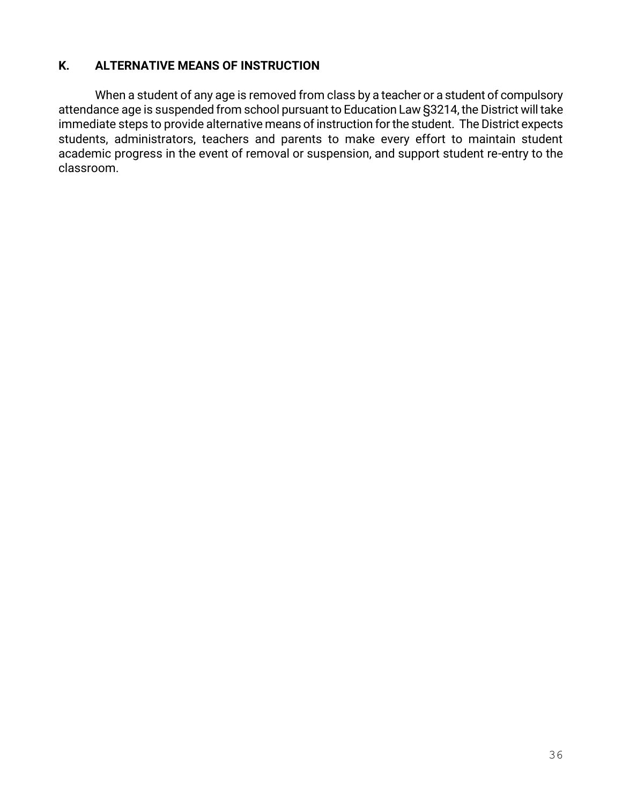# **K. ALTERNATIVE MEANS OF INSTRUCTION**

When a student of any age is removed from class by a teacher or a student of compulsory attendance age is suspended from school pursuant to Education Law §3214, the District will take immediate steps to provide alternative means of instruction for the student. The District expects students, administrators, teachers and parents to make every effort to maintain student academic progress in the event of removal or suspension, and support student re-entry to the classroom.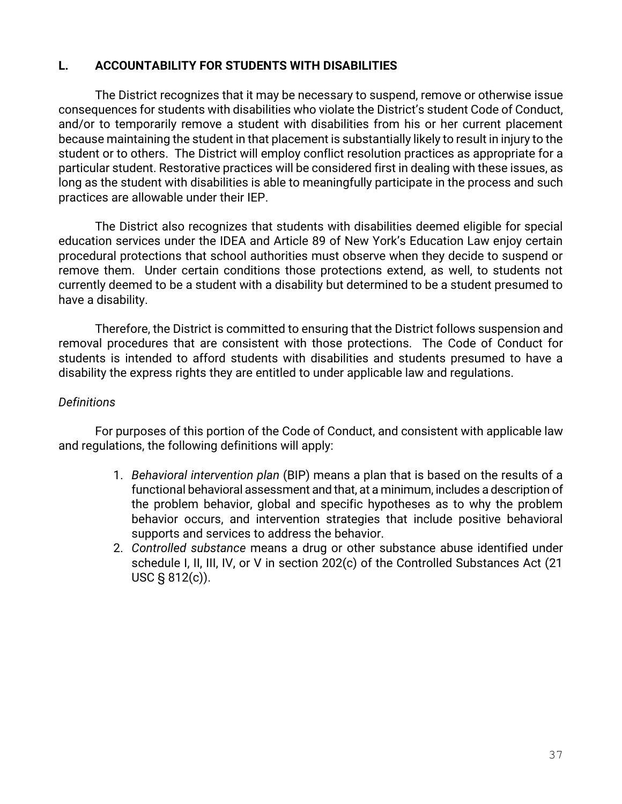# **L. ACCOUNTABILITY FOR STUDENTS WITH DISABILITIES**

The District recognizes that it may be necessary to suspend, remove or otherwise issue consequences for students with disabilities who violate the District's student Code of Conduct, and/or to temporarily remove a student with disabilities from his or her current placement because maintaining the student in that placement is substantially likely to result in injury to the student or to others. The District will employ conflict resolution practices as appropriate for a particular student. Restorative practices will be considered first in dealing with these issues, as long as the student with disabilities is able to meaningfully participate in the process and such practices are allowable under their IEP.

The District also recognizes that students with disabilities deemed eligible for special education services under the IDEA and Article 89 of New York's Education Law enjoy certain procedural protections that school authorities must observe when they decide to suspend or remove them. Under certain conditions those protections extend, as well, to students not currently deemed to be a student with a disability but determined to be a student presumed to have a disability.

Therefore, the District is committed to ensuring that the District follows suspension and removal procedures that are consistent with those protections. The Code of Conduct for students is intended to afford students with disabilities and students presumed to have a disability the express rights they are entitled to under applicable law and regulations.

#### *Definitions*

For purposes of this portion of the Code of Conduct, and consistent with applicable law and regulations, the following definitions will apply:

- 1. *Behavioral intervention plan* (BIP) means a plan that is based on the results of a functional behavioral assessment and that, at a minimum, includes a description of the problem behavior, global and specific hypotheses as to why the problem behavior occurs, and intervention strategies that include positive behavioral supports and services to address the behavior.
- 2. *Controlled substance* means a drug or other substance abuse identified under schedule I, II, III, IV, or V in section 202(c) of the Controlled Substances Act (21 USC § 812(c)).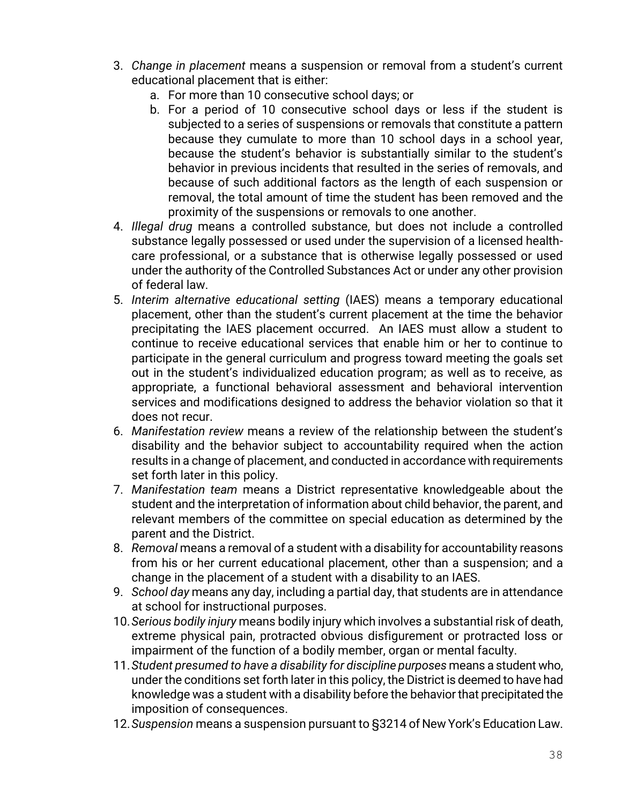- 3. *Change in placement* means a suspension or removal from a student's current educational placement that is either:
	- a. For more than 10 consecutive school days; or
	- b. For a period of 10 consecutive school days or less if the student is subjected to a series of suspensions or removals that constitute a pattern because they cumulate to more than 10 school days in a school year, because the student's behavior is substantially similar to the student's behavior in previous incidents that resulted in the series of removals, and because of such additional factors as the length of each suspension or removal, the total amount of time the student has been removed and the proximity of the suspensions or removals to one another.
- 4. *Illegal drug* means a controlled substance, but does not include a controlled substance legally possessed or used under the supervision of a licensed healthcare professional, or a substance that is otherwise legally possessed or used under the authority of the Controlled Substances Act or under any other provision of federal law.
- 5. *Interim alternative educational setting* (IAES) means a temporary educational placement, other than the student's current placement at the time the behavior precipitating the IAES placement occurred. An IAES must allow a student to continue to receive educational services that enable him or her to continue to participate in the general curriculum and progress toward meeting the goals set out in the student's individualized education program; as well as to receive, as appropriate, a functional behavioral assessment and behavioral intervention services and modifications designed to address the behavior violation so that it does not recur.
- 6. *Manifestation review* means a review of the relationship between the student's disability and the behavior subject to accountability required when the action results in a change of placement, and conducted in accordance with requirements set forth later in this policy.
- 7. *Manifestation team* means a District representative knowledgeable about the student and the interpretation of information about child behavior, the parent, and relevant members of the committee on special education as determined by the parent and the District.
- 8. *Removal* means a removal of a student with a disability for accountability reasons from his or her current educational placement, other than a suspension; and a change in the placement of a student with a disability to an IAES.
- 9. *School day* means any day, including a partial day, that students are in attendance at school for instructional purposes.
- 10.*Serious bodily injury* means bodily injury which involves a substantial risk of death, extreme physical pain, protracted obvious disfigurement or protracted loss or impairment of the function of a bodily member, organ or mental faculty.
- 11.*Student presumed to have a disability for discipline purposes* means a student who, under the conditions set forth later in this policy, the District is deemed to have had knowledge was a student with a disability before the behavior that precipitated the imposition of consequences.
- 12.*Suspension* means a suspension pursuant to §3214 of New York's Education Law.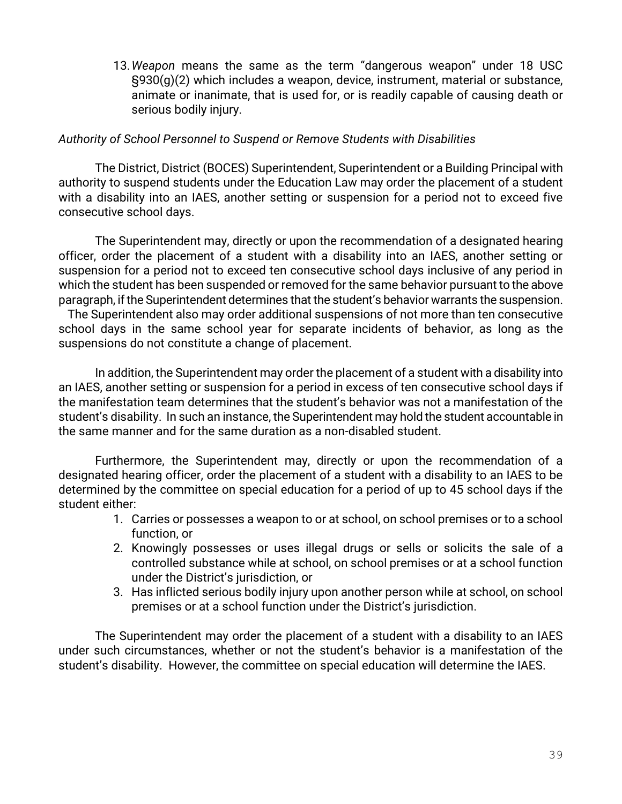13.*Weapon* means the same as the term "dangerous weapon" under 18 USC §930(g)(2) which includes a weapon, device, instrument, material or substance, animate or inanimate, that is used for, or is readily capable of causing death or serious bodily injury.

#### *Authority of School Personnel to Suspend or Remove Students with Disabilities*

The District, District (BOCES) Superintendent, Superintendent or a Building Principal with authority to suspend students under the Education Law may order the placement of a student with a disability into an IAES, another setting or suspension for a period not to exceed five consecutive school days.

The Superintendent may, directly or upon the recommendation of a designated hearing officer, order the placement of a student with a disability into an IAES, another setting or suspension for a period not to exceed ten consecutive school days inclusive of any period in which the student has been suspended or removed for the same behavior pursuant to the above paragraph, if the Superintendent determines that the student's behavior warrants the suspension.

 The Superintendent also may order additional suspensions of not more than ten consecutive school days in the same school year for separate incidents of behavior, as long as the suspensions do not constitute a change of placement.

In addition, the Superintendent may order the placement of a student with a disability into an IAES, another setting or suspension for a period in excess of ten consecutive school days if the manifestation team determines that the student's behavior was not a manifestation of the student's disability. In such an instance, the Superintendent may hold the student accountable in the same manner and for the same duration as a non-disabled student.

Furthermore, the Superintendent may, directly or upon the recommendation of a designated hearing officer, order the placement of a student with a disability to an IAES to be determined by the committee on special education for a period of up to 45 school days if the student either:

- 1. Carries or possesses a weapon to or at school, on school premises or to a school function, or
- 2. Knowingly possesses or uses illegal drugs or sells or solicits the sale of a controlled substance while at school, on school premises or at a school function under the District's jurisdiction, or
- 3. Has inflicted serious bodily injury upon another person while at school, on school premises or at a school function under the District's jurisdiction.

The Superintendent may order the placement of a student with a disability to an IAES under such circumstances, whether or not the student's behavior is a manifestation of the student's disability. However, the committee on special education will determine the IAES.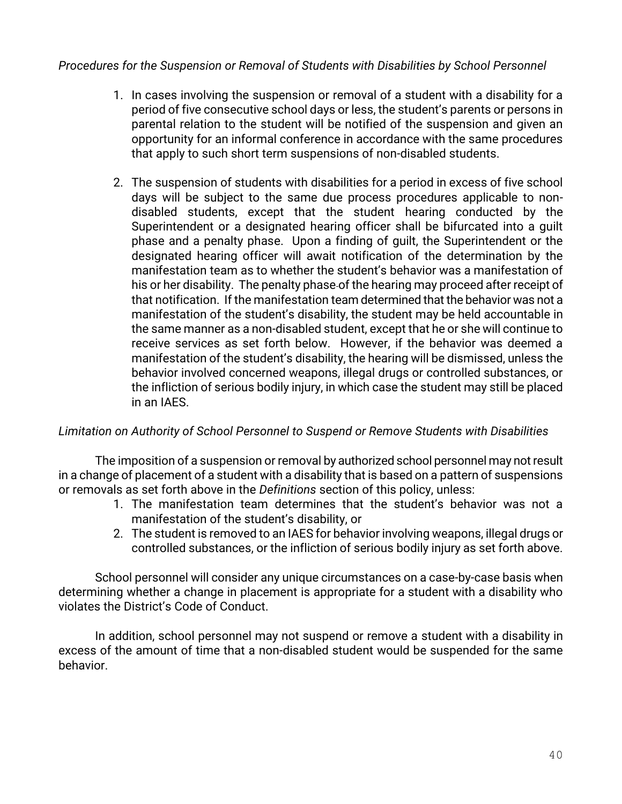## *Procedures for the Suspension or Removal of Students with Disabilities by School Personnel*

- 1. In cases involving the suspension or removal of a student with a disability for a period of five consecutive school days or less, the student's parents or persons in parental relation to the student will be notified of the suspension and given an opportunity for an informal conference in accordance with the same procedures that apply to such short term suspensions of non-disabled students.
- 2. The suspension of students with disabilities for a period in excess of five school days will be subject to the same due process procedures applicable to nondisabled students, except that the student hearing conducted by the Superintendent or a designated hearing officer shall be bifurcated into a guilt phase and a penalty phase. Upon a finding of guilt, the Superintendent or the designated hearing officer will await notification of the determination by the manifestation team as to whether the student's behavior was a manifestation of his or her disability. The penalty phase of the hearing may proceed after receipt of that notification. If the manifestation team determined that the behavior was not a manifestation of the student's disability, the student may be held accountable in the same manner as a non-disabled student, except that he or she will continue to receive services as set forth below. However, if the behavior was deemed a manifestation of the student's disability, the hearing will be dismissed, unless the behavior involved concerned weapons, illegal drugs or controlled substances, or the infliction of serious bodily injury, in which case the student may still be placed in an IAES.

# *Limitation on Authority of School Personnel to Suspend or Remove Students with Disabilities*

The imposition of a suspension or removal by authorized school personnel may not result in a change of placement of a student with a disability that is based on a pattern of suspensions or removals as set forth above in the *Definitions* section of this policy, unless:

- 1. The manifestation team determines that the student's behavior was not a manifestation of the student's disability, or
- 2. The student is removed to an IAES for behavior involving weapons, illegal drugs or controlled substances, or the infliction of serious bodily injury as set forth above.

School personnel will consider any unique circumstances on a case-by-case basis when determining whether a change in placement is appropriate for a student with a disability who violates the District's Code of Conduct.

In addition, school personnel may not suspend or remove a student with a disability in excess of the amount of time that a non-disabled student would be suspended for the same behavior.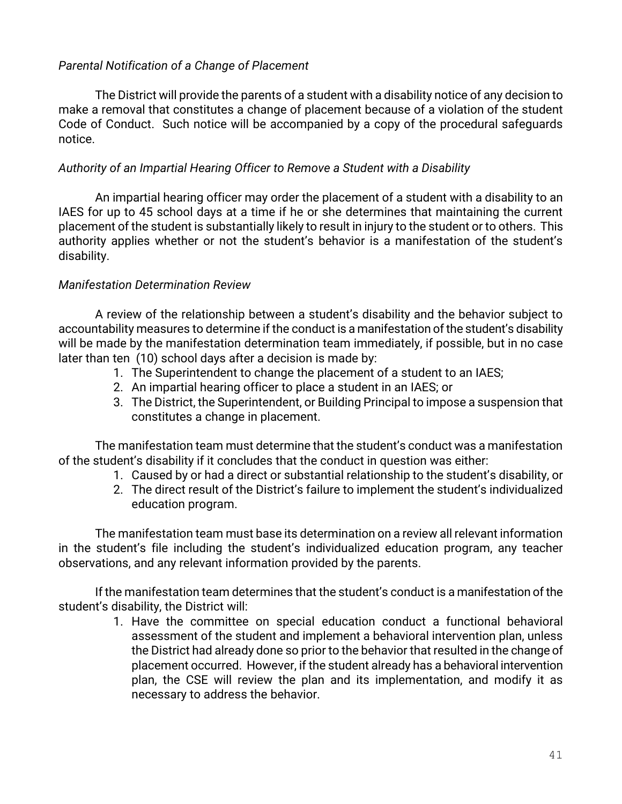#### *Parental Notification of a Change of Placement*

The District will provide the parents of a student with a disability notice of any decision to make a removal that constitutes a change of placement because of a violation of the student Code of Conduct. Such notice will be accompanied by a copy of the procedural safeguards notice.

#### *Authority of an Impartial Hearing Officer to Remove a Student with a Disability*

An impartial hearing officer may order the placement of a student with a disability to an IAES for up to 45 school days at a time if he or she determines that maintaining the current placement of the student is substantially likely to result in injury to the student or to others. This authority applies whether or not the student's behavior is a manifestation of the student's disability.

#### *Manifestation Determination Review*

A review of the relationship between a student's disability and the behavior subject to accountability measures to determine if the conduct is a manifestation of the student's disability will be made by the manifestation determination team immediately, if possible, but in no case later than ten (10) school days after a decision is made by:

- 1. The Superintendent to change the placement of a student to an IAES;
- 2. An impartial hearing officer to place a student in an IAES; or
- 3. The District, the Superintendent, or Building Principal to impose a suspension that constitutes a change in placement.

The manifestation team must determine that the student's conduct was a manifestation of the student's disability if it concludes that the conduct in question was either:

- 1. Caused by or had a direct or substantial relationship to the student's disability, or
- 2. The direct result of the District's failure to implement the student's individualized education program.

The manifestation team must base its determination on a review all relevant information in the student's file including the student's individualized education program, any teacher observations, and any relevant information provided by the parents.

If the manifestation team determines that the student's conduct is a manifestation of the student's disability, the District will:

> 1. Have the committee on special education conduct a functional behavioral assessment of the student and implement a behavioral intervention plan, unless the District had already done so prior to the behavior that resulted in the change of placement occurred. However, if the student already has a behavioral intervention plan, the CSE will review the plan and its implementation, and modify it as necessary to address the behavior.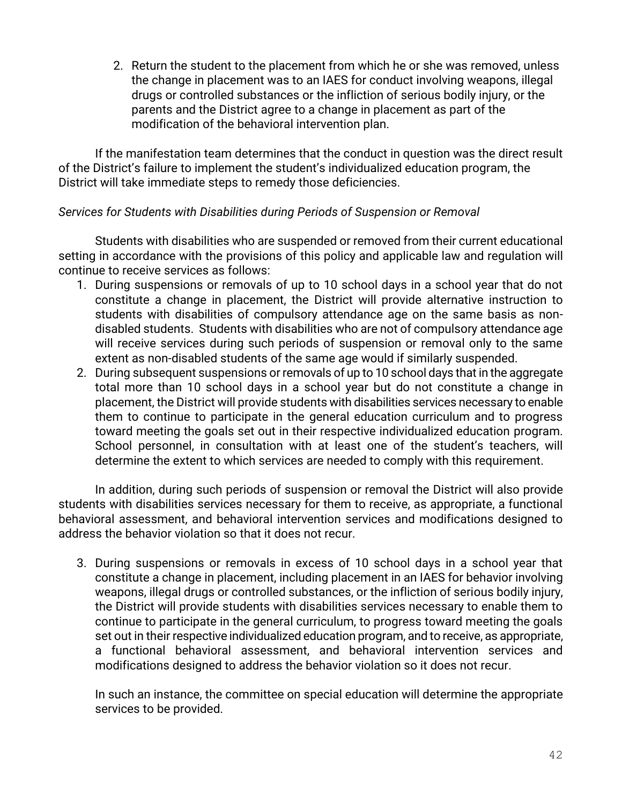2. Return the student to the placement from which he or she was removed, unless the change in placement was to an IAES for conduct involving weapons, illegal drugs or controlled substances or the infliction of serious bodily injury, or the parents and the District agree to a change in placement as part of the modification of the behavioral intervention plan.

If the manifestation team determines that the conduct in question was the direct result of the District's failure to implement the student's individualized education program, the District will take immediate steps to remedy those deficiencies.

#### *Services for Students with Disabilities during Periods of Suspension or Removal*

Students with disabilities who are suspended or removed from their current educational setting in accordance with the provisions of this policy and applicable law and regulation will continue to receive services as follows:

- 1. During suspensions or removals of up to 10 school days in a school year that do not constitute a change in placement, the District will provide alternative instruction to students with disabilities of compulsory attendance age on the same basis as nondisabled students. Students with disabilities who are not of compulsory attendance age will receive services during such periods of suspension or removal only to the same extent as non-disabled students of the same age would if similarly suspended.
- 2. During subsequent suspensions or removals of up to 10 school days that in the aggregate total more than 10 school days in a school year but do not constitute a change in placement, the District will provide students with disabilities services necessary to enable them to continue to participate in the general education curriculum and to progress toward meeting the goals set out in their respective individualized education program. School personnel, in consultation with at least one of the student's teachers, will determine the extent to which services are needed to comply with this requirement.

In addition, during such periods of suspension or removal the District will also provide students with disabilities services necessary for them to receive, as appropriate, a functional behavioral assessment, and behavioral intervention services and modifications designed to address the behavior violation so that it does not recur.

3. During suspensions or removals in excess of 10 school days in a school year that constitute a change in placement, including placement in an IAES for behavior involving weapons, illegal drugs or controlled substances, or the infliction of serious bodily injury, the District will provide students with disabilities services necessary to enable them to continue to participate in the general curriculum, to progress toward meeting the goals set out in their respective individualized education program, and to receive, as appropriate, a functional behavioral assessment, and behavioral intervention services and modifications designed to address the behavior violation so it does not recur.

In such an instance, the committee on special education will determine the appropriate services to be provided.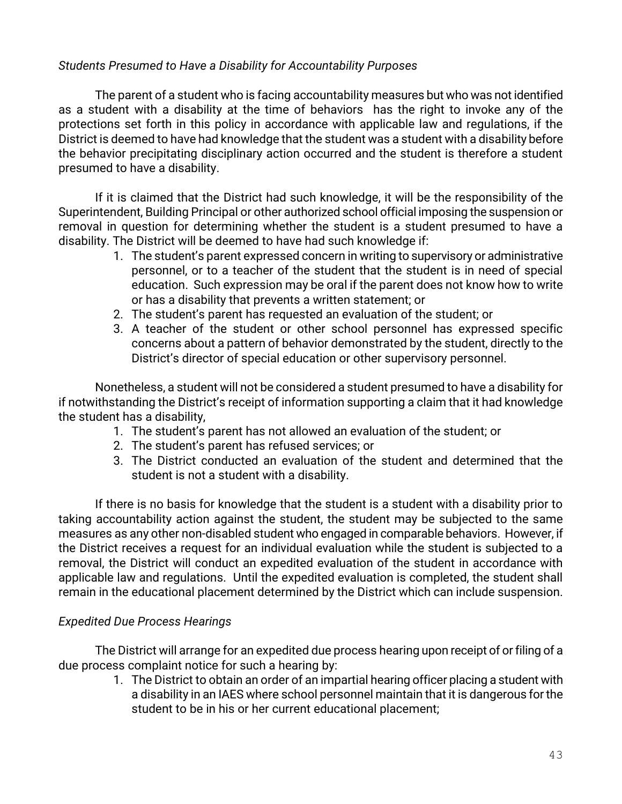#### *Students Presumed to Have a Disability for Accountability Purposes*

The parent of a student who is facing accountability measures but who was not identified as a student with a disability at the time of behaviors has the right to invoke any of the protections set forth in this policy in accordance with applicable law and regulations, if the District is deemed to have had knowledge that the student was a student with a disability before the behavior precipitating disciplinary action occurred and the student is therefore a student presumed to have a disability.

If it is claimed that the District had such knowledge, it will be the responsibility of the Superintendent, Building Principal or other authorized school official imposing the suspension or removal in question for determining whether the student is a student presumed to have a disability. The District will be deemed to have had such knowledge if:

- 1. The student's parent expressed concern in writing to supervisory or administrative personnel, or to a teacher of the student that the student is in need of special education. Such expression may be oral if the parent does not know how to write or has a disability that prevents a written statement; or
- 2. The student's parent has requested an evaluation of the student; or
- 3. A teacher of the student or other school personnel has expressed specific concerns about a pattern of behavior demonstrated by the student, directly to the District's director of special education or other supervisory personnel.

Nonetheless, a student will not be considered a student presumed to have a disability for if notwithstanding the District's receipt of information supporting a claim that it had knowledge the student has a disability,

- 1. The student's parent has not allowed an evaluation of the student; or
- 2. The student's parent has refused services; or
- 3. The District conducted an evaluation of the student and determined that the student is not a student with a disability.

If there is no basis for knowledge that the student is a student with a disability prior to taking accountability action against the student, the student may be subjected to the same measures as any other non-disabled student who engaged in comparable behaviors. However, if the District receives a request for an individual evaluation while the student is subjected to a removal, the District will conduct an expedited evaluation of the student in accordance with applicable law and regulations. Until the expedited evaluation is completed, the student shall remain in the educational placement determined by the District which can include suspension.

#### *Expedited Due Process Hearings*

The District will arrange for an expedited due process hearing upon receipt of or filing of a due process complaint notice for such a hearing by:

> 1. The District to obtain an order of an impartial hearing officer placing a student with a disability in an IAES where school personnel maintain that it is dangerous for the student to be in his or her current educational placement;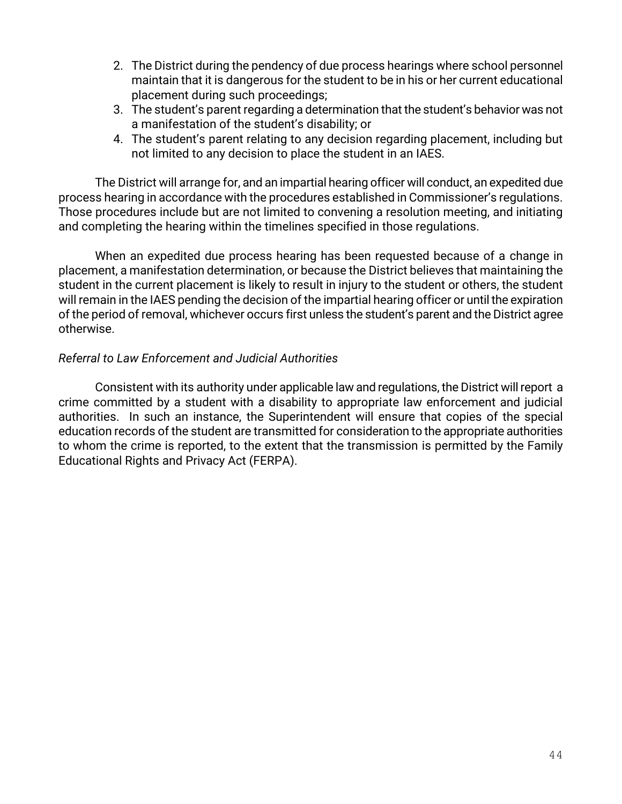- 2. The District during the pendency of due process hearings where school personnel maintain that it is dangerous for the student to be in his or her current educational placement during such proceedings;
- 3. The student's parent regarding a determination that the student's behavior was not a manifestation of the student's disability; or
- 4. The student's parent relating to any decision regarding placement, including but not limited to any decision to place the student in an IAES.

The District will arrange for, and an impartial hearing officer will conduct, an expedited due process hearing in accordance with the procedures established in Commissioner's regulations. Those procedures include but are not limited to convening a resolution meeting, and initiating and completing the hearing within the timelines specified in those regulations.

When an expedited due process hearing has been requested because of a change in placement, a manifestation determination, or because the District believes that maintaining the student in the current placement is likely to result in injury to the student or others, the student will remain in the IAES pending the decision of the impartial hearing officer or until the expiration of the period of removal, whichever occurs first unless the student's parent and the District agree otherwise.

#### *Referral to Law Enforcement and Judicial Authorities*

Consistent with its authority under applicable law and regulations, the District will report a crime committed by a student with a disability to appropriate law enforcement and judicial authorities. In such an instance, the Superintendent will ensure that copies of the special education records of the student are transmitted for consideration to the appropriate authorities to whom the crime is reported, to the extent that the transmission is permitted by the Family Educational Rights and Privacy Act (FERPA).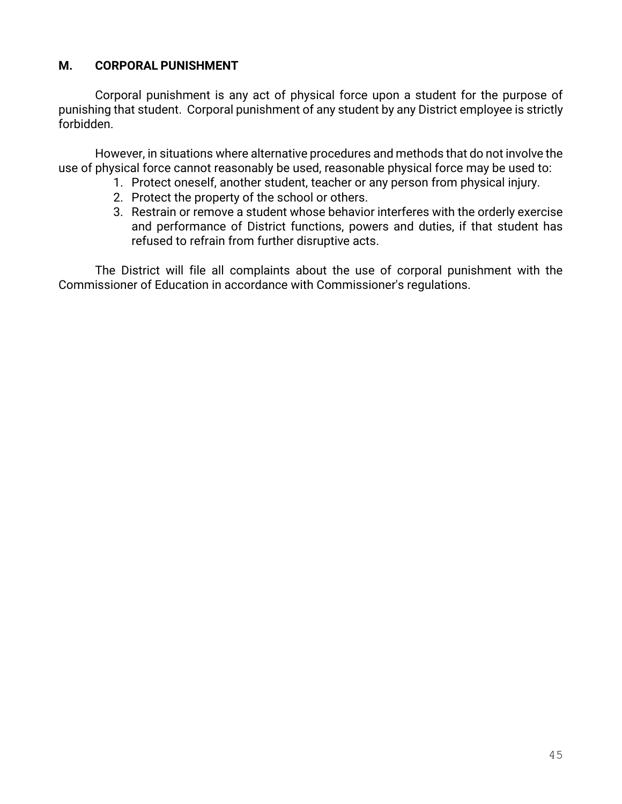# **M. CORPORAL PUNISHMENT**

Corporal punishment is any act of physical force upon a student for the purpose of punishing that student. Corporal punishment of any student by any District employee is strictly forbidden.

However, in situations where alternative procedures and methods that do not involve the use of physical force cannot reasonably be used, reasonable physical force may be used to:

- 1. Protect oneself, another student, teacher or any person from physical injury.
- 2. Protect the property of the school or others.
- 3. Restrain or remove a student whose behavior interferes with the orderly exercise and performance of District functions, powers and duties, if that student has refused to refrain from further disruptive acts.

The District will file all complaints about the use of corporal punishment with the Commissioner of Education in accordance with Commissioner's regulations.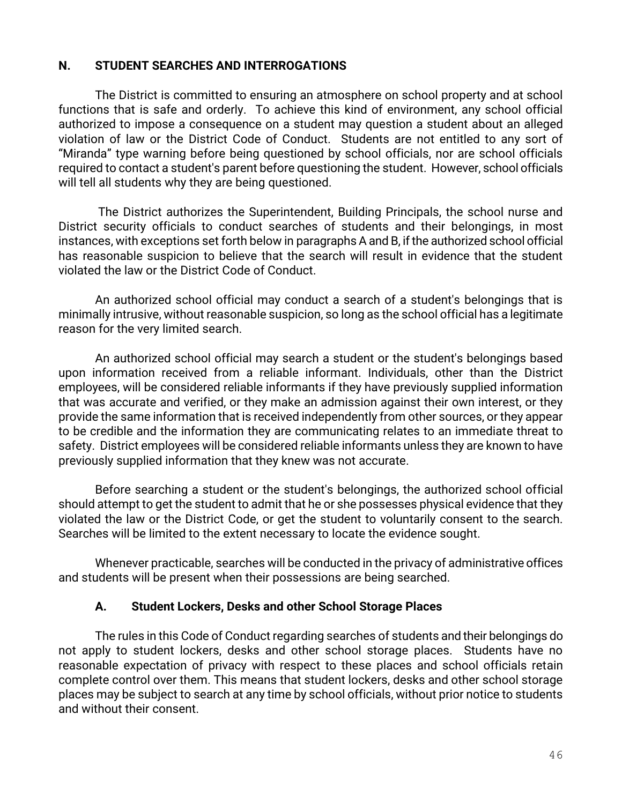#### **N. STUDENT SEARCHES AND INTERROGATIONS**

The District is committed to ensuring an atmosphere on school property and at school functions that is safe and orderly. To achieve this kind of environment, any school official authorized to impose a consequence on a student may question a student about an alleged violation of law or the District Code of Conduct. Students are not entitled to any sort of "Miranda" type warning before being questioned by school officials, nor are school officials required to contact a student's parent before questioning the student. However, school officials will tell all students why they are being questioned.

The District authorizes the Superintendent, Building Principals, the school nurse and District security officials to conduct searches of students and their belongings, in most instances, with exceptions set forth below in paragraphs A and B, if the authorized school official has reasonable suspicion to believe that the search will result in evidence that the student violated the law or the District Code of Conduct.

An authorized school official may conduct a search of a student's belongings that is minimally intrusive, without reasonable suspicion, so long as the school official has a legitimate reason for the very limited search.

An authorized school official may search a student or the student's belongings based upon information received from a reliable informant. Individuals, other than the District employees, will be considered reliable informants if they have previously supplied information that was accurate and verified, or they make an admission against their own interest, or they provide the same information that is received independently from other sources, or they appear to be credible and the information they are communicating relates to an immediate threat to safety. District employees will be considered reliable informants unless they are known to have previously supplied information that they knew was not accurate.

Before searching a student or the student's belongings, the authorized school official should attempt to get the student to admit that he or she possesses physical evidence that they violated the law or the District Code, or get the student to voluntarily consent to the search. Searches will be limited to the extent necessary to locate the evidence sought.

Whenever practicable, searches will be conducted in the privacy of administrative offices and students will be present when their possessions are being searched.

#### **A. Student Lockers, Desks and other School Storage Places**

The rules in this Code of Conduct regarding searches of students and their belongings do not apply to student lockers, desks and other school storage places. Students have no reasonable expectation of privacy with respect to these places and school officials retain complete control over them. This means that student lockers, desks and other school storage places may be subject to search at any time by school officials, without prior notice to students and without their consent.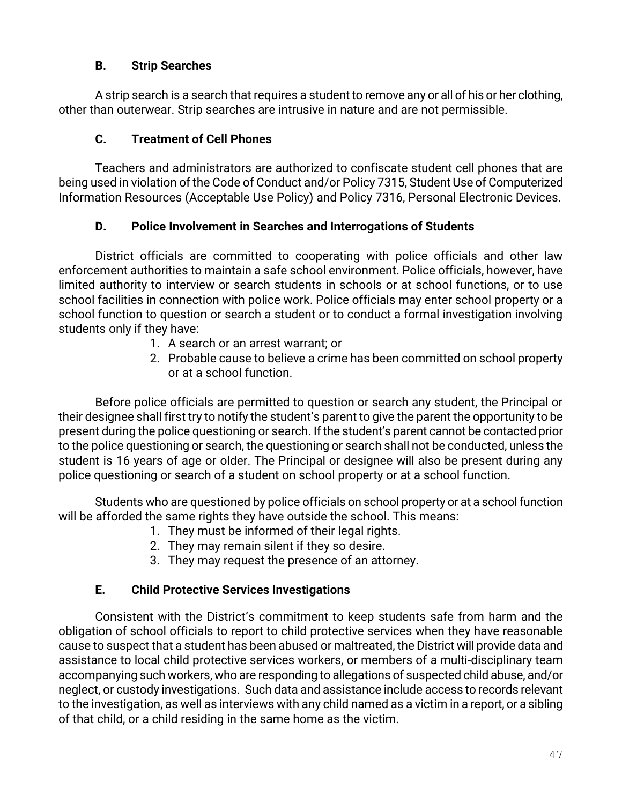# **B. Strip Searches**

A strip search is a search that requires a student to remove any or all of his or her clothing, other than outerwear. Strip searches are intrusive in nature and are not permissible.

# **C. Treatment of Cell Phones**

Teachers and administrators are authorized to confiscate student cell phones that are being used in violation of the Code of Conduct and/or Policy 7315, Student Use of Computerized Information Resources (Acceptable Use Policy) and Policy 7316, Personal Electronic Devices.

# **D. Police Involvement in Searches and Interrogations of Students**

District officials are committed to cooperating with police officials and other law enforcement authorities to maintain a safe school environment. Police officials, however, have limited authority to interview or search students in schools or at school functions, or to use school facilities in connection with police work. Police officials may enter school property or a school function to question or search a student or to conduct a formal investigation involving students only if they have:

- 1. A search or an arrest warrant; or
- 2. Probable cause to believe a crime has been committed on school property or at a school function.

Before police officials are permitted to question or search any student, the Principal or their designee shall first try to notify the student's parent to give the parent the opportunity to be present during the police questioning or search. If the student's parent cannot be contacted prior to the police questioning or search, the questioning or search shall not be conducted, unless the student is 16 years of age or older. The Principal or designee will also be present during any police questioning or search of a student on school property or at a school function.

Students who are questioned by police officials on school property or at a school function will be afforded the same rights they have outside the school. This means:

- 1. They must be informed of their legal rights.
- 2. They may remain silent if they so desire.
- 3. They may request the presence of an attorney.

# **E. Child Protective Services Investigations**

Consistent with the District's commitment to keep students safe from harm and the obligation of school officials to report to child protective services when they have reasonable cause to suspect that a student has been abused or maltreated, the District will provide data and assistance to local child protective services workers, or members of a multi-disciplinary team accompanying such workers, who are responding to allegations of suspected child abuse, and/or neglect, or custody investigations. Such data and assistance include access to records relevant to the investigation, as well as interviews with any child named as a victim in a report, or a sibling of that child, or a child residing in the same home as the victim.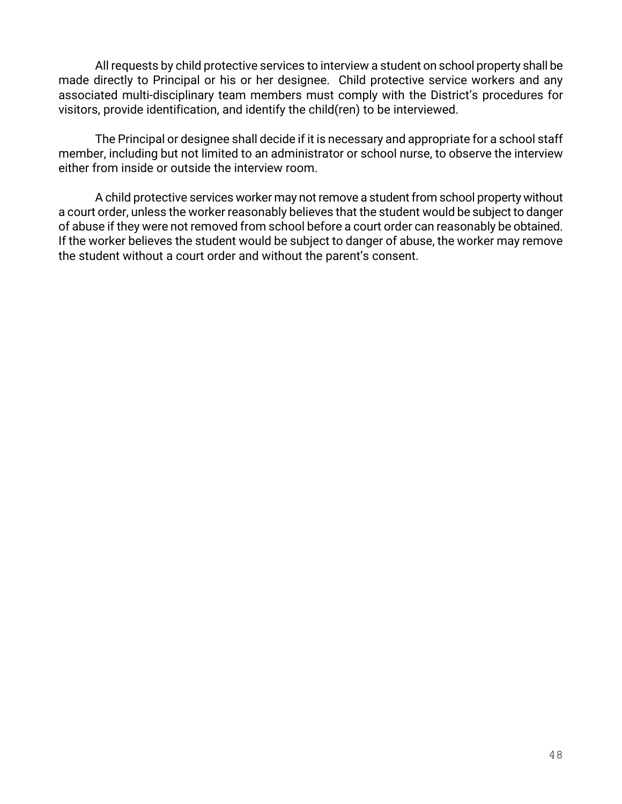All requests by child protective services to interview a student on school property shall be made directly to Principal or his or her designee. Child protective service workers and any associated multi-disciplinary team members must comply with the District's procedures for visitors, provide identification, and identify the child(ren) to be interviewed.

The Principal or designee shall decide if it is necessary and appropriate for a school staff member, including but not limited to an administrator or school nurse, to observe the interview either from inside or outside the interview room.

A child protective services worker may not remove a student from school property without a court order, unless the worker reasonably believes that the student would be subject to danger of abuse if they were not removed from school before a court order can reasonably be obtained. If the worker believes the student would be subject to danger of abuse, the worker may remove the student without a court order and without the parent's consent.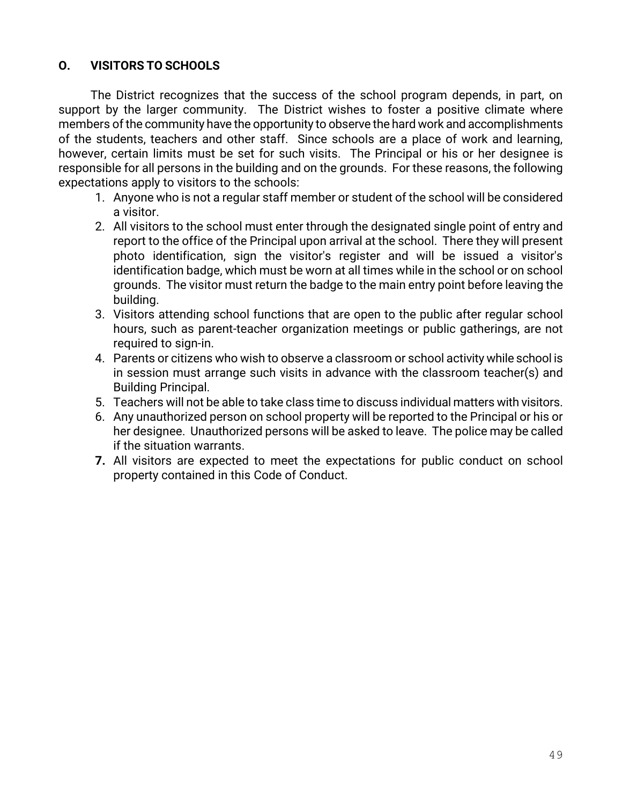# **O. VISITORS TO SCHOOLS**

The District recognizes that the success of the school program depends, in part, on support by the larger community. The District wishes to foster a positive climate where members of the community have the opportunity to observe the hard work and accomplishments of the students, teachers and other staff. Since schools are a place of work and learning, however, certain limits must be set for such visits. The Principal or his or her designee is responsible for all persons in the building and on the grounds. For these reasons, the following expectations apply to visitors to the schools:

- 1. Anyone who is not a regular staff member or student of the school will be considered a visitor.
- 2. All visitors to the school must enter through the designated single point of entry and report to the office of the Principal upon arrival at the school. There they will present photo identification, sign the visitor's register and will be issued a visitor's identification badge, which must be worn at all times while in the school or on school grounds. The visitor must return the badge to the main entry point before leaving the building.
- 3. Visitors attending school functions that are open to the public after regular school hours, such as parent-teacher organization meetings or public gatherings, are not required to sign-in.
- 4. Parents or citizens who wish to observe a classroom or school activity while school is in session must arrange such visits in advance with the classroom teacher(s) and Building Principal.
- 5. Teachers will not be able to take class time to discuss individual matters with visitors.
- 6. Any unauthorized person on school property will be reported to the Principal or his or her designee. Unauthorized persons will be asked to leave. The police may be called if the situation warrants.
- **7.** All visitors are expected to meet the expectations for public conduct on school property contained in this Code of Conduct.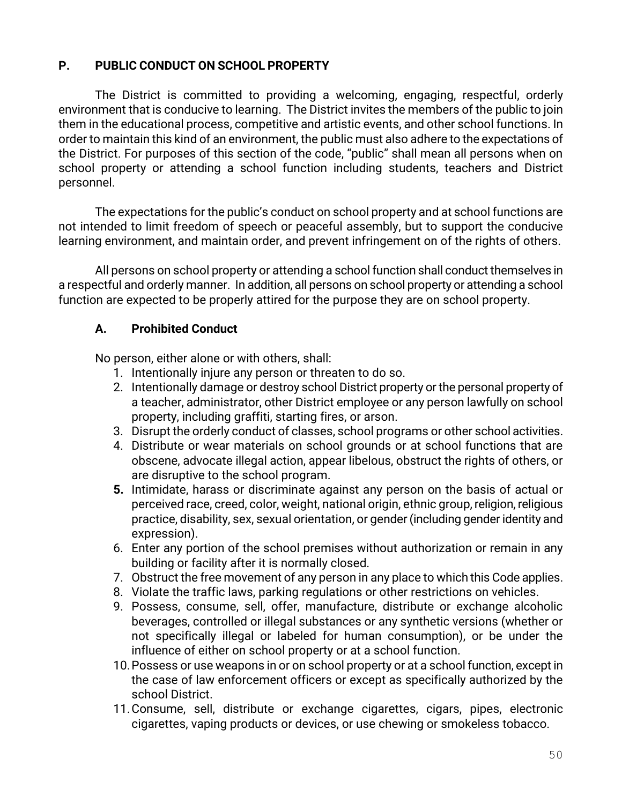# **P. PUBLIC CONDUCT ON SCHOOL PROPERTY**

The District is committed to providing a welcoming, engaging, respectful, orderly environment that is conducive to learning. The District invites the members of the public to join them in the educational process, competitive and artistic events, and other school functions. In order to maintain this kind of an environment, the public must also adhere to the expectations of the District. For purposes of this section of the code, "public" shall mean all persons when on school property or attending a school function including students, teachers and District personnel.

The expectations for the public's conduct on school property and at school functions are not intended to limit freedom of speech or peaceful assembly, but to support the conducive learning environment, and maintain order, and prevent infringement on of the rights of others.

All persons on school property or attending a school function shall conduct themselves in a respectful and orderly manner. In addition, all persons on school property or attending a school function are expected to be properly attired for the purpose they are on school property.

# **A. Prohibited Conduct**

No person, either alone or with others, shall:

- 1. Intentionally injure any person or threaten to do so.
- 2. Intentionally damage or destroy school District property or the personal property of a teacher, administrator, other District employee or any person lawfully on school property, including graffiti, starting fires, or arson.
- 3. Disrupt the orderly conduct of classes, school programs or other school activities.
- 4. Distribute or wear materials on school grounds or at school functions that are obscene, advocate illegal action, appear libelous, obstruct the rights of others, or are disruptive to the school program.
- **5.** Intimidate, harass or discriminate against any person on the basis of actual or perceived race, creed, color, weight, national origin, ethnic group, religion, religious practice, disability, sex, sexual orientation, or gender (including gender identity and expression).
- 6. Enter any portion of the school premises without authorization or remain in any building or facility after it is normally closed.
- 7. Obstruct the free movement of any person in any place to which this Code applies.
- 8. Violate the traffic laws, parking regulations or other restrictions on vehicles.
- 9. Possess, consume, sell, offer, manufacture, distribute or exchange alcoholic beverages, controlled or illegal substances or any synthetic versions (whether or not specifically illegal or labeled for human consumption), or be under the influence of either on school property or at a school function.
- 10.Possess or use weapons in or on school property or at a school function, except in the case of law enforcement officers or except as specifically authorized by the school District.
- 11.Consume, sell, distribute or exchange cigarettes, cigars, pipes, electronic cigarettes, vaping products or devices, or use chewing or smokeless tobacco.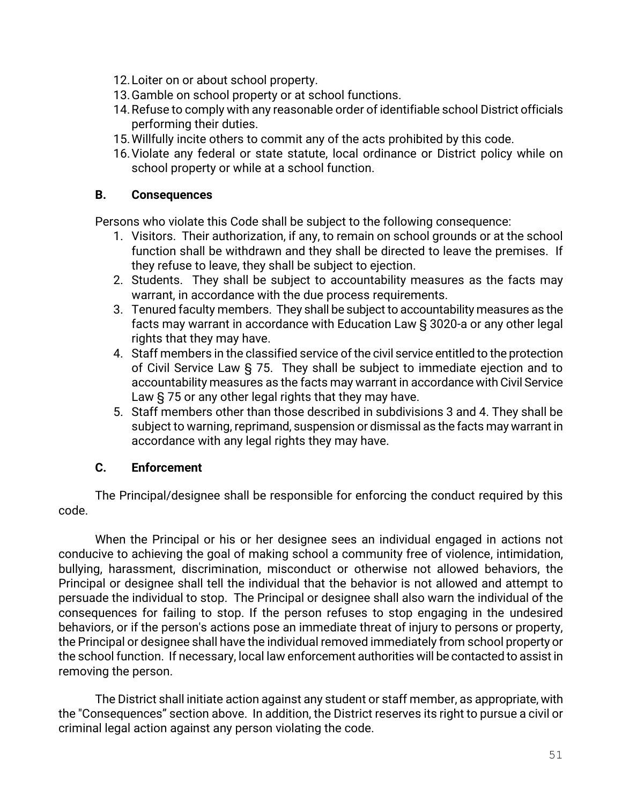- 12.Loiter on or about school property.
- 13.Gamble on school property or at school functions.
- 14.Refuse to comply with any reasonable order of identifiable school District officials performing their duties.
- 15.Willfully incite others to commit any of the acts prohibited by this code.
- 16.Violate any federal or state statute, local ordinance or District policy while on school property or while at a school function.

## **B. Consequences**

Persons who violate this Code shall be subject to the following consequence:

- 1. Visitors. Their authorization, if any, to remain on school grounds or at the school function shall be withdrawn and they shall be directed to leave the premises. If they refuse to leave, they shall be subject to ejection.
- 2. Students. They shall be subject to accountability measures as the facts may warrant, in accordance with the due process requirements.
- 3. Tenured faculty members. They shall be subject to accountability measures as the facts may warrant in accordance with Education Law § 3020-a or any other legal rights that they may have.
- 4. Staff members in the classified service of the civil service entitled to the protection of Civil Service Law § 75. They shall be subject to immediate ejection and to accountability measures as the facts may warrant in accordance with Civil Service Law § 75 or any other legal rights that they may have.
- 5. Staff members other than those described in subdivisions 3 and 4. They shall be subject to warning, reprimand, suspension or dismissal as the facts may warrant in accordance with any legal rights they may have.

# **C. Enforcement**

The Principal/designee shall be responsible for enforcing the conduct required by this code.

When the Principal or his or her designee sees an individual engaged in actions not conducive to achieving the goal of making school a community free of violence, intimidation, bullying, harassment, discrimination, misconduct or otherwise not allowed behaviors, the Principal or designee shall tell the individual that the behavior is not allowed and attempt to persuade the individual to stop. The Principal or designee shall also warn the individual of the consequences for failing to stop. If the person refuses to stop engaging in the undesired behaviors, or if the person's actions pose an immediate threat of injury to persons or property, the Principal or designee shall have the individual removed immediately from school property or the school function. If necessary, local law enforcement authorities will be contacted to assist in removing the person.

The District shall initiate action against any student or staff member, as appropriate, with the "Consequences" section above. In addition, the District reserves its right to pursue a civil or criminal legal action against any person violating the code.